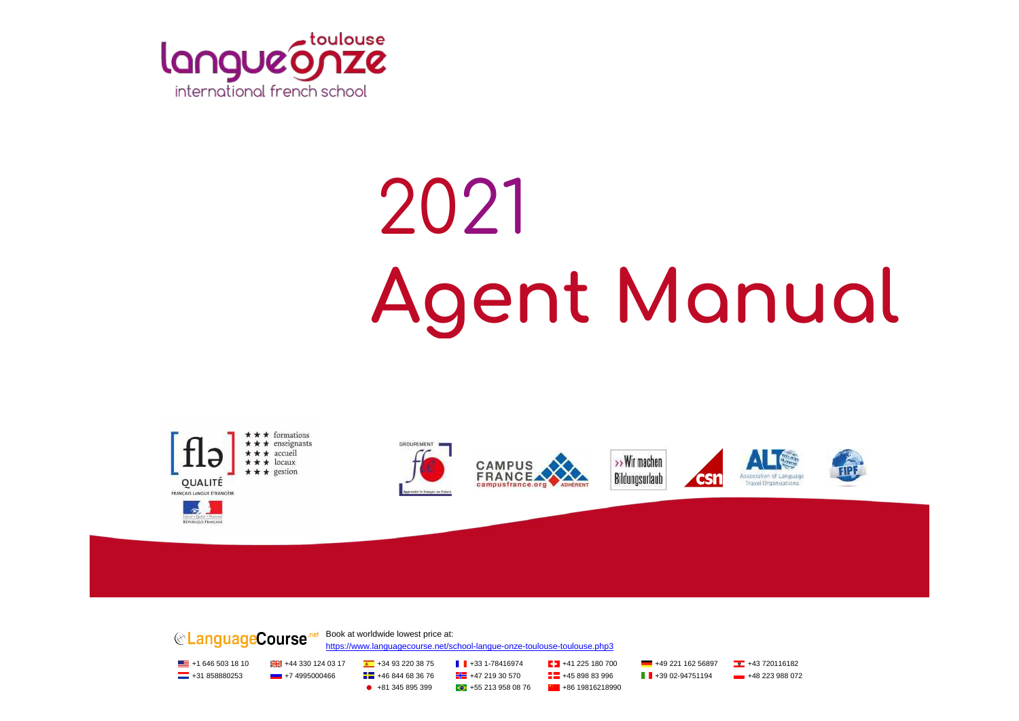

# 2021 **Agent Manual**







Association of Longuage

**Travel Organizations** 

FIPH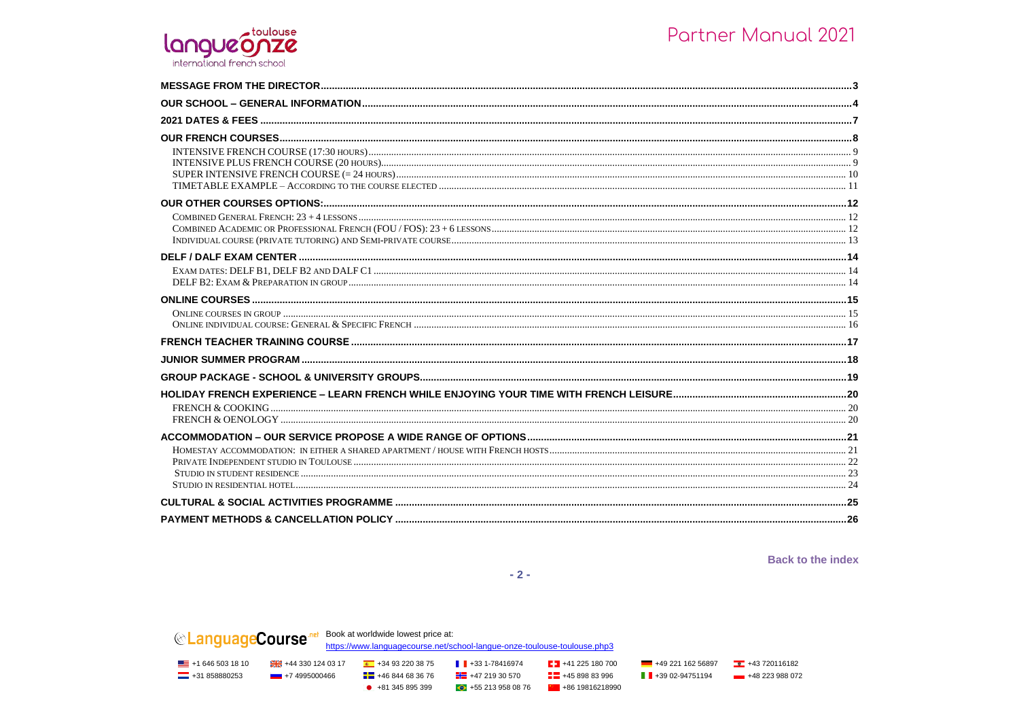### toulouse langueonze international french school

**Back to the index** 

 $-2-$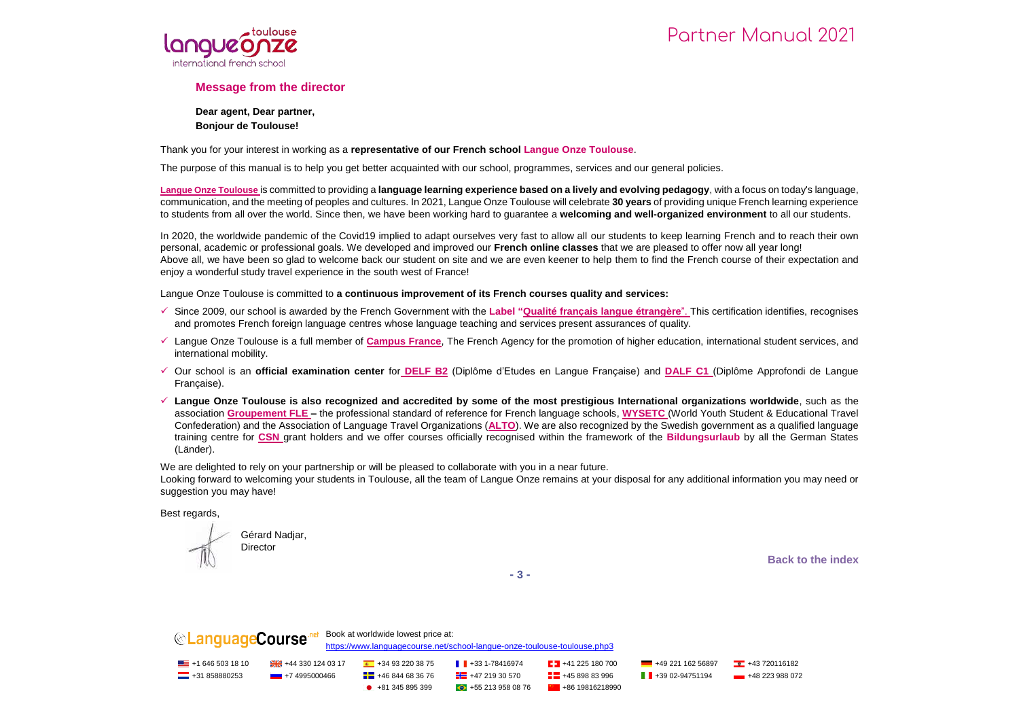

#### **Message from the director**

**Dear agent, Dear partner, Bonjour de Toulouse!**

Thank you for your interest in working as a **representative of our French school Langue Onze Toulouse**.

The purpose of this manual is to help you get better acquainted with our school, programmes, services and our general policies.

**Langue Onze Toulouse** is committed to providing a **language learning experience based on a lively and evolving pedagogy**, with a focus on today's language, communication, and the meeting of peoples and cultures. In 2021, Langue Onze Toulouse will celebrate **30 years** of providing unique French learning experience to students from all over the world. Since then, we have been working hard to guarantee a **welcoming and well-organized environment** to all our students.

In 2020, the worldwide pandemic of the Covid19 implied to adapt ourselves very fast to allow all our students to keep learning French and to reach their own personal, academic or professional goals. We developed and improved our **French online classes** that we are pleased to offer now all year long! Above all, we have been so glad to welcome back our student on site and we are even keener to help them to find the French course of their expectation and enjoy a wonderful study travel experience in the south west of France!

Langue Onze Toulouse is committed to **a continuous improvement of its French courses quality and services:**

- Since 2009, our school is awarded by the French Government with the **Label "Qualité français langue étrangère**". This certification identifies, recognises and promotes French foreign language centres whose language teaching and services present assurances of quality.
- Langue Onze Toulouse is a full member of **Campus France**, The French Agency for the promotion of higher education, international student services, and international mobility.
- Our school is an **official examination center** for **DELF B2** (Diplôme d'Etudes en Langue Française) and **DALF C1** (Diplôme Approfondi de Langue Française).
- **Langue Onze Toulouse is also recognized and accredited by some of the most prestigious International organizations worldwide**, such as the association **Groupement FLE –** the professional standard of reference for French language schools, **WYSETC** (World Youth Student & Educational Travel Confederation) and the Association of Language Travel Organizations (**ALTO**). We are also recognized by the Swedish government as a qualified language training centre for **CSN** grant holders and we offer courses officially recognised within the framework of the **Bildungsurlaub** by all the German States (Länder).

We are delighted to rely on your partnership or will be pleased to collaborate with you in a near future.

Looking forward to welcoming your students in Toulouse, all the team of Langue Onze remains at your disposal for any additional information you may need or suggestion you may have!

Best regards,

Gérard Nadjar, **Director** 

**Back to the index**

**- 3 -**

**CanguageCourse** net Book at worldwide lowest price at: <https://www.languagecourse.net/school-langue-onze-toulouse-toulouse.php3>  $\blacksquare$  +1 646 503 18 10  $\blacksquare$  +44 330 124 03 17  $\blacksquare$  +34 93 220 38 75  $\blacksquare$  +33 1-78416974  $\blacksquare$  +41 225 180 700  $\blacksquare$  +49 221 162 56897  $\blacksquare$  +43 720116182  $\Box$  +31 858880253 +7 4995000466  $\Box$  +46 844 68 36 76  $\Box$  +47 219 30 570  $\Box$  +45 898 83 996  $\Box$  +39 02-94751194 +48 223 988 072  $\bullet$  +81 345 895 399  $\bullet$  +55 213 958 08 76  $\bullet$  +86 19816218990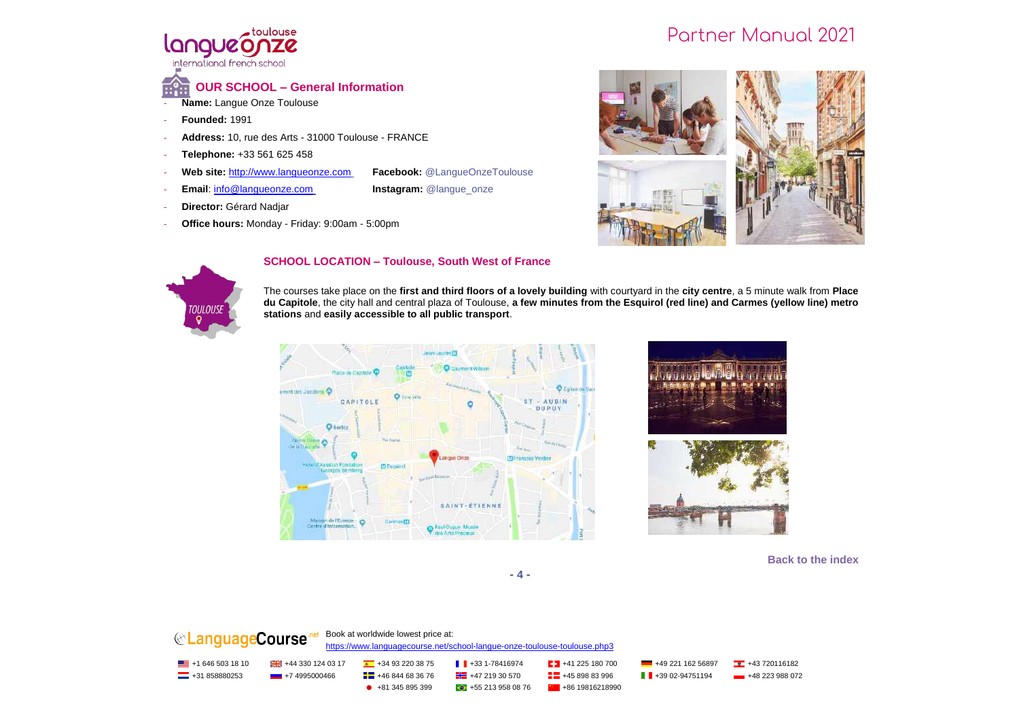

**OUR SCHOOL – General Information**

- **Name:** Langue Onze Toulouse
- **Founded:** 1991
- Address: 10, rue des Arts 31000 Toulouse FRANCE
- **Telephone:** +33 561 625 458
- **Web site:** http://www.langueonze.com **Facebook:** @LangueOnzeToulouse
- **Email:** info@langueonze.com **Instagram:** @langue\_onze
- 

- **Director:** Gérard Nadjar
- **Office hours:** Monday Friday: 9:00am 5:00pm





#### **SCHOOL LOCATION – Toulouse, South West of France**

The courses take place on the **first and third floors of a lovely building** with courtyard in the **city centre**, a 5 minute walk from **Place du Capitole**, the city hall and central plaza of Toulouse, **a few minutes from the Esquirol (red line) and Carmes (yellow line) metro stations** and **easily accessible to all public transport**.







**Back to the index**

**- 4 -**

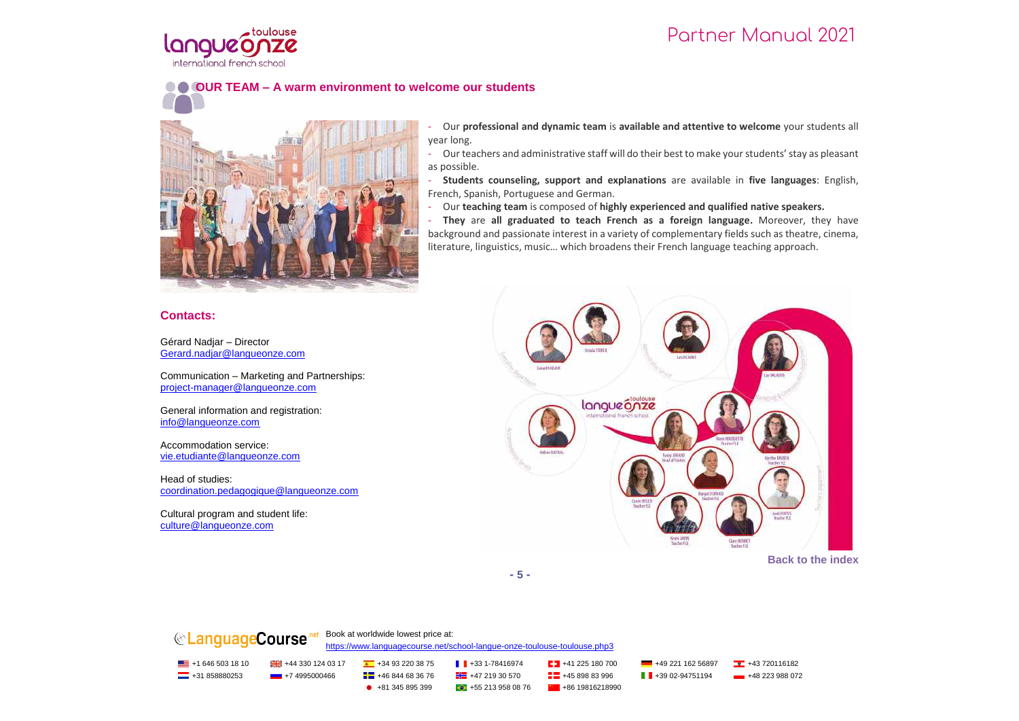

## **OUR TEAM – A warm environment to welcome our students**



## **Contacts:**

Gérard Nadjar – Director Gerard.nadjar@langueonze.com

Communication – Marketing and Partnerships: project-manager@langueonze.com

General information and registration: info@langueonze.com

Accommodation service: vie.etudiante@langueonze.com

Head of studies: coordination.pedagogique@langueonze.com

Cultural program and student life: culture@langueonze.com

- Our **professional and dynamic team** is **available and attentive to welcome** your students all year long.

- Our teachers and administrative staff will do their best to make your students' stay as pleasant as possible.

- **Students counseling, support and explanations** are available in **five languages**: English, French, Spanish, Portuguese and German.

- Our **teaching team** is composed of **highly experienced and qualified native speakers.**

- **They** are **all graduated to teach French as a foreign language.** Moreover, they have background and passionate interest in a variety of complementary fields such as theatre, cinema, literature, linguistics, music… which broadens their French language teaching approach.



**Back to the index**

**- 5 -**

## **CanguageCourse** net Book at worldwide lowest price at:

<https://www.languagecourse.net/school-langue-onze-toulouse-toulouse.php3>

<u>■</u> +1 646 503 18 10 +43 320 124 03 17 +43 93 220 38 75 +34 93 220 38 75 +43 31-78416974 +41 225 180 700 +49 221 162 56897 +43 720116182 **---** +31 858880253 +7 4995000466 + +46 844 68 36 76 + +46 +47 219 30 570 + +46 898 83 996 + +39 02-94751194 + +48 223 988 072

 $\bullet$  +81 345 895 399  $\bullet$  +55 213 958 08 76  $\bullet$  +86 19816218990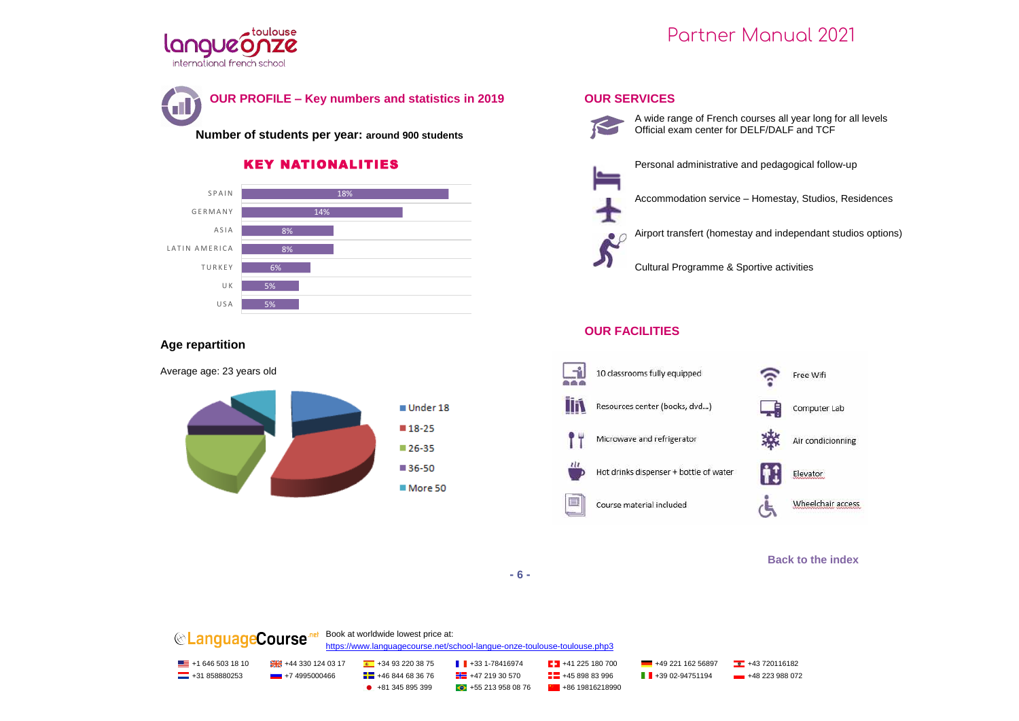



**Number of students per year: around 900 students**

## KEY NATIONALITIES



#### **Age repartition**







T.

Personal administrative and pedagogical follow-up

Accommodation service – Homestay, Studios, Residences

Airport transfert (homestay and independant studios options) 29

Cultural Programme & Sportive activities

#### **OUR FACILITIES**



#### **Back to the index**

**- 6 -**

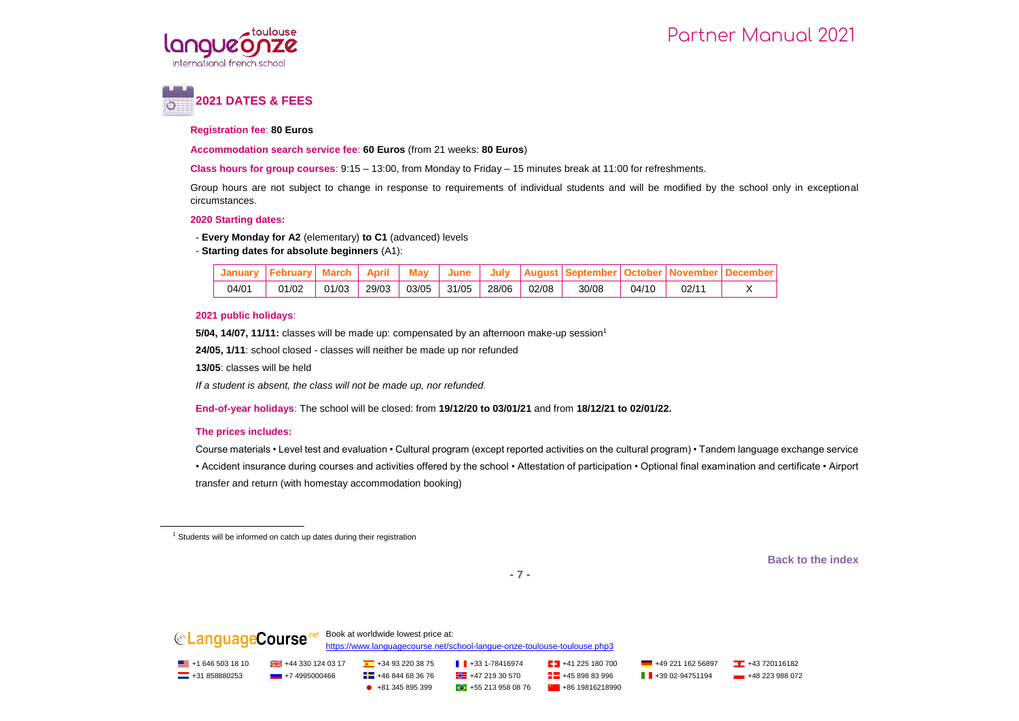



#### **Registration fee**: **80 Euros**

**Accommodation search service fee**: **60 Euros** (from 21 weeks: **80 Euros**)

**Class hours for group courses**: 9:15 – 13:00, from Monday to Friday – 15 minutes break at 11:00 for refreshments.

Group hours are not subject to change in response to requirements of individual students and will be modified by the school only in exceptional circumstances.

#### **2020 Starting dates:**

- **Every Monday for A2** (elementary) **to C1** (advanced) levels

#### - **Starting dates for absolute beginners** (A1):

|       |       |       | April | <b>May</b> | June  |       |       |       |       |      |  |
|-------|-------|-------|-------|------------|-------|-------|-------|-------|-------|------|--|
| 04/01 | 01/02 | 01/03 | 29/03 | 03/05      | 31/05 | 28/06 | 02/08 | 30/08 | 04/10 | 02/1 |  |

#### **2021 public holidays**:

**5/04, 14/07, 11/11:** classes will be made up: compensated by an afternoon make-up session<sup>1</sup>

**24/05, 1/11**: school closed - classes will neither be made up nor refunded

**13/05**: classes will be held

*If a student is absent, the class will not be made up, nor refunded*.

**End-of-year holidays**: The school will be closed: from **19/12/20 to 03/01/21** and from **18/12/21 to 02/01/22.**

#### **The prices includes:**

j

Course materials • Level test and evaluation • Cultural program (except reported activities on the cultural program) • Tandem language exchange service • Accident insurance during courses and activities offered by the school • Attestation of participation • Optional final examination and certificate • Airport transfer and return (with homestay accommodation booking)

<sup>1</sup> Students will be informed on catch up dates during their registration

**Back to the index**

**- 7 -**

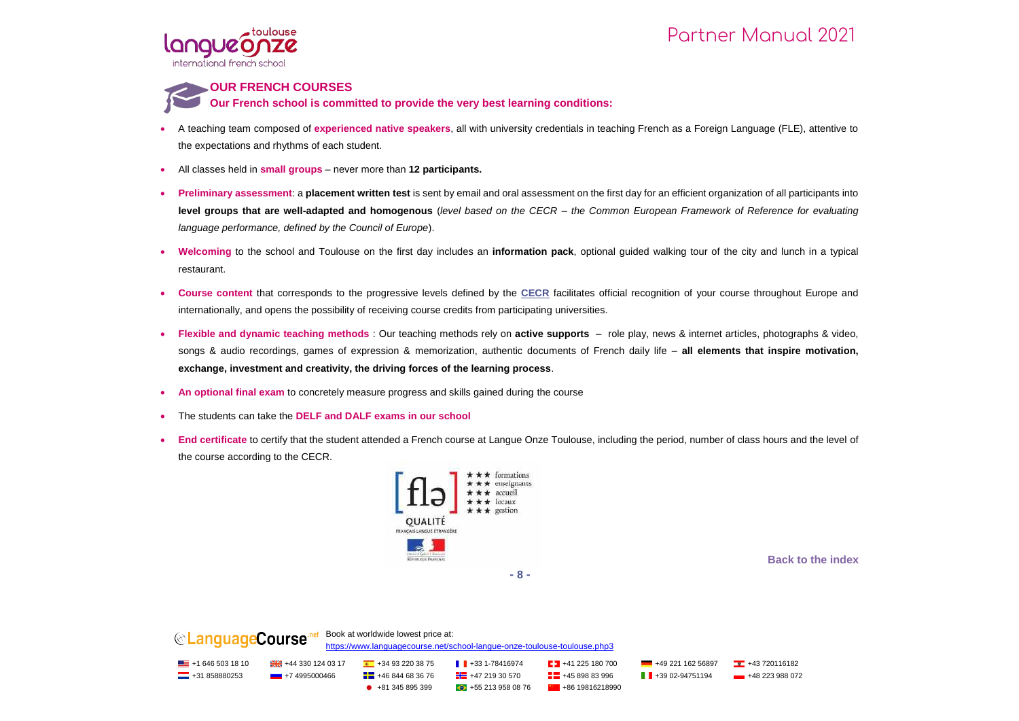

#### **OUR FRENCH COURSES**

**Our French school is committed to provide the very best learning conditions:**

- A teaching team composed of **experienced native speakers**, all with university credentials in teaching French as a Foreign Language (FLE), attentive to the expectations and rhythms of each student.
- All classes held in **small groups** never more than **12 participants.**
- **Preliminary assessment**: a **placement written test** is sent by email and oral assessment on the first day for an efficient organization of all participants into **level groups that are well-adapted and homogenous** (*level based on the CECR – the Common European Framework of Reference for evaluating language performance, defined by the Council of Europe*).
- **Welcoming** to the school and Toulouse on the first day includes an **information pack**, optional guided walking tour of the city and lunch in a typical restaurant.
- **Course content** that corresponds to the progressive levels defined by the **CECR** facilitates official recognition of your course throughout Europe and internationally, and opens the possibility of receiving course credits from participating universities.
- **Flexible and dynamic teaching methods** : Our teaching methods rely on **active supports** role play, news & internet articles, photographs & video, songs & audio recordings, games of expression & memorization, authentic documents of French daily life – **all elements that inspire motivation, exchange, investment and creativity, the driving forces of the learning process**.
- **An optional final exam** to concretely measure progress and skills gained during the course
- The students can take the **DELF and DALF exams in our school**
- **End certificate** to certify that the student attended a French course at Langue Onze Toulouse, including the period, number of class hours and the level of the course according to the CECR.



**Back to the index**

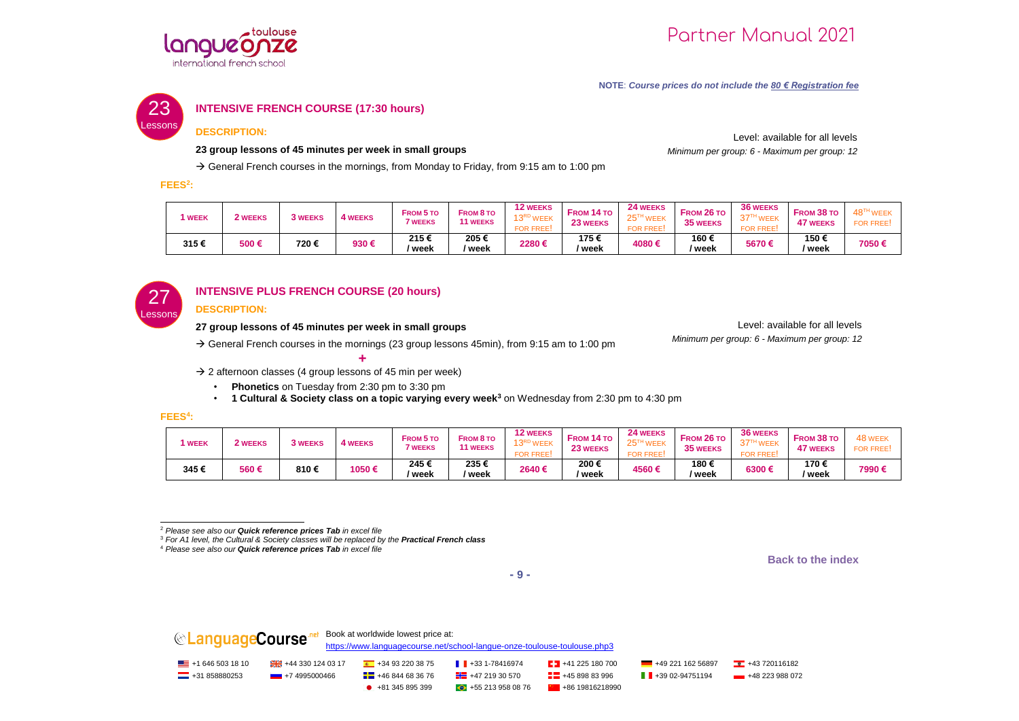

*Minimum per group: 6 - Maximum per group: 12*

Level: available for all levels

#### **NOTE**: *Course prices do not include the 80 € Registration fee*



#### **INTENSIVE FRENCH COURSE (17:30 hours)**

#### **DESCRIPTION:**

#### **23 group lessons of 45 minutes per week in small groups**

 $\rightarrow$  General French courses in the mornings, from Monday to Friday, from 9:15 am to 1:00 pm

**FEES<sup>2</sup> :**

| <b>WEEK</b> | <b>WEEKS</b> | <b>3 WEEKS</b> | 4 WEEKS | <b>FROM 5 TO</b><br><b>WEEKS</b> | <b>FROM 8 TO</b><br><b>11 WEEKS</b> | <b>12 WEEKS</b><br>13RD WEEK<br><b>FOR FREE</b> | <b>FROM 14 TO</b><br>23 WEEKS | 24 WEEKS<br>$25^{\mathrm{T}}$<br><b>WEEK</b><br><b>FOR FREE</b> | FROM 26 TO<br><b>35 WEEKS</b> | <b>36 WEEKS</b><br>'WEEK<br><b>FOR FREE</b> | FROM 38 TO<br><b>47 WEEKS</b> | 48 <sup>TH</sup> WEEK<br><b>FOR FREE:</b> |
|-------------|--------------|----------------|---------|----------------------------------|-------------------------------------|-------------------------------------------------|-------------------------------|-----------------------------------------------------------------|-------------------------------|---------------------------------------------|-------------------------------|-------------------------------------------|
| 315€        | 500€         | 720 €          | 930€    | 215€<br>week                     | 205€<br>ˈweek                       | 2280€                                           | 175€<br>' week                | 4080 €                                                          | 160€<br>' week                | 5670€                                       | 150€<br>′ week                | 7050 €                                    |



## **INTENSIVE PLUS FRENCH COURSE (20 hours)**

#### **DESCRIPTION:**

#### **27 group lessons of 45 minutes per week in small groups**

 $\rightarrow$  General French courses in the mornings (23 group lessons 45min), from 9:15 am to 1:00 pm

Level: available for all levels *Minimum per group: 6 - Maximum per group: 12*

**+**  $\rightarrow$  2 afternoon classes (4 group lessons of 45 min per week)

- **Phonetics** on Tuesday from 2:30 pm to 3:30 pm
- **1 Cultural & Society class on a topic varying every week<sup>3</sup>** on Wednesday from 2:30 pm to 4:30 pm

#### **FEES<sup>4</sup> :**

| <b>WEEK</b> | WEEKS | <b>3 WEEKS</b> | <b>4 WEEKS</b> | <b>FROM 5 TO</b><br><sup>7</sup> WEEKS | <b>FROM 8 TO</b><br><b>11 WEEKS</b> | <b>12 WEEKS</b><br>12RD<br>ıэ<br><b>FOR FREE</b> | <b>FROM 14 TO</b><br>23 WEEKS | 24 WEEKS<br>25 <sup>TH</sup><br>WEEK<br><b>FOR FRE</b> | FROM 26 TO<br>35 WEEKS | <b>36 WEEKS</b><br>$37^{T}$<br><b>WEEK</b><br><b>FOR FREE</b> | <b>FROM 38 TO</b><br><b>47 WEEKS</b> | 48 WEE'<br><b>FOR FREE</b> |
|-------------|-------|----------------|----------------|----------------------------------------|-------------------------------------|--------------------------------------------------|-------------------------------|--------------------------------------------------------|------------------------|---------------------------------------------------------------|--------------------------------------|----------------------------|
| 345€        | 560€  | 810€           | 1050€          | 245€<br>' week                         | 235€<br>' week                      | 2640€                                            | 200€<br>ˈweek                 | 4560€                                                  | 180€<br>' week         | 6300€                                                         | 170€<br>' week                       | 7990€                      |

j <sup>2</sup> *Please see also our Quick reference prices Tab in excel file*

<sup>3</sup> *For A1 level, the Cultural & Society classes will be replaced by the Practical French class*

**Back to the index**

**- 9 -**

**CLanguageCourse** Report at worldwide lowest price at: <https://www.languagecourse.net/school-langue-onze-toulouse-toulouse.php3> +1 646 503 18 10 +44 330 124 03 17 +34 93 220 38 75 +33 1-78416974 +41 225 180 700 +49 221 162 56897 +43 720116182  $\Box$  +31 858880253 +7 4995000466  $\Box$  +46 844 68 36 76  $\Box$  +47 219 30 570  $\Box$  +45 898 83 996  $\Box$  +39 02-94751194 +48 223 988 072  $\bullet$  +81 345 895 399  $\bullet$  +55 213 958 08 76  $\bullet$  +86 19816218990

<sup>4</sup> *Please see also our Quick reference prices Tab in excel file*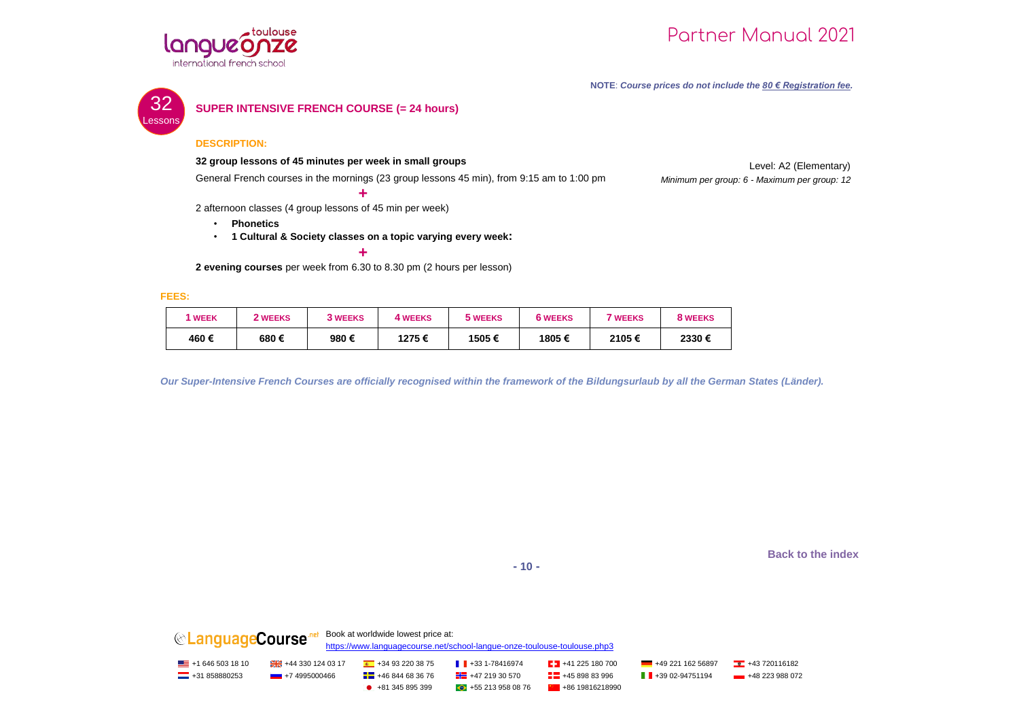



**NOTE**: *Course prices do not include the 80 € Registration fee.*



#### **SUPER INTENSIVE FRENCH COURSE (= 24 hours)**

#### **DESCRIPTION:**

#### **32 group lessons of 45 minutes per week in small groups**

General French courses in the mornings (23 group lessons 45 min), from 9:15 am to 1:00 pm

Level: A2 (Elementary) *Minimum per group: 6 - Maximum per group: 12*

2 afternoon classes (4 group lessons of 45 min per week)

- **Phonetics**
- **1 Cultural & Society classes on a topic varying every week:**

**+**

**+ 2 evening courses** per week from 6.30 to 8.30 pm (2 hours per lesson)

**FEES:**

| <b>WEEK</b> | 2 WEEKS | <b>3 WEEKS</b> | <b>4 WEEKS</b> | 5 WEEKS | <b>6 WEEKS</b> | <b>7 WEEKS</b> | 8 WEEKS |
|-------------|---------|----------------|----------------|---------|----------------|----------------|---------|
| 460€        | 680€    | 980€           | 1275€          | 1505€   | 1805€          | 2105€          | 2330€   |

*Our Super-Intensive French Courses are officially recognised within the framework of the Bildungsurlaub by all the German States (Länder).*

**Back to the index**

**- 10 -**

**CLanguageCourse**<sup>nel</sup> Book at worldwide lowest price at: <https://www.languagecourse.net/school-langue-onze-toulouse-toulouse.php3> <u>■</u> +1 646 503 18 10 +43 320 124 03 17 +43 93 220 38 75 +34 93 220 38 75 +43 31-78416974 +41 225 180 700 +49 221 162 56897 +43 720116182 **---** +31 858880253 +7 4995000466 + +46 844 68 36 76 + +46 +47 219 30 570 + +46 898 83 996 + +39 02-94751194 + +48 223 988 072  $\bullet$  +81 345 895 399  $\bullet$  +55 213 958 08 76  $\bullet$  +86 19816218990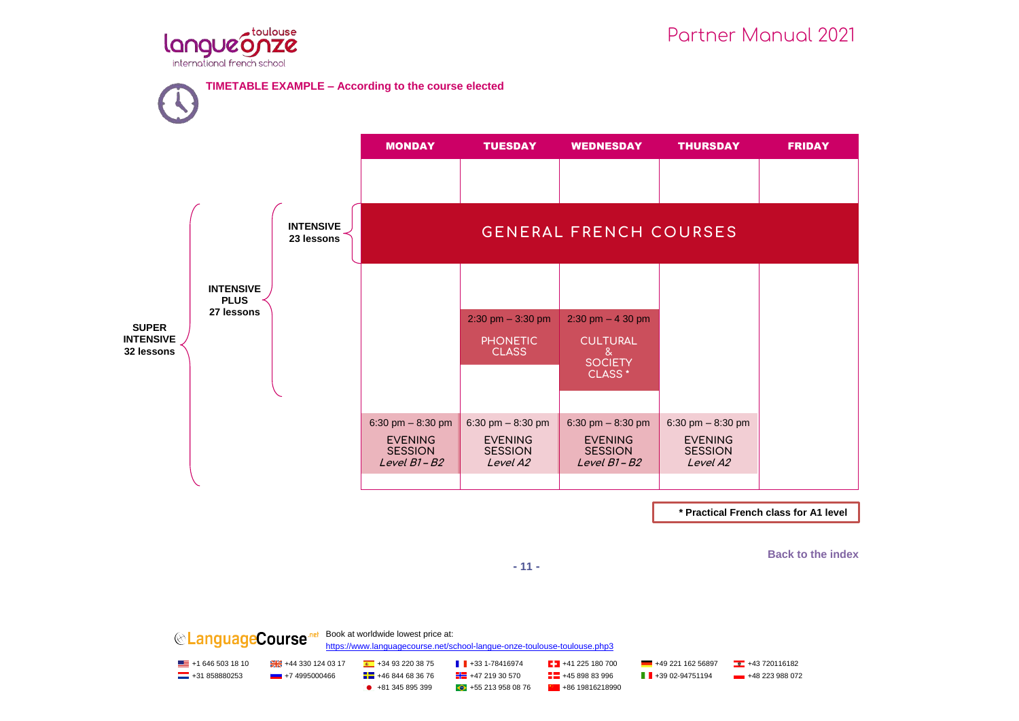



**Back to the index**

**- 11 -**

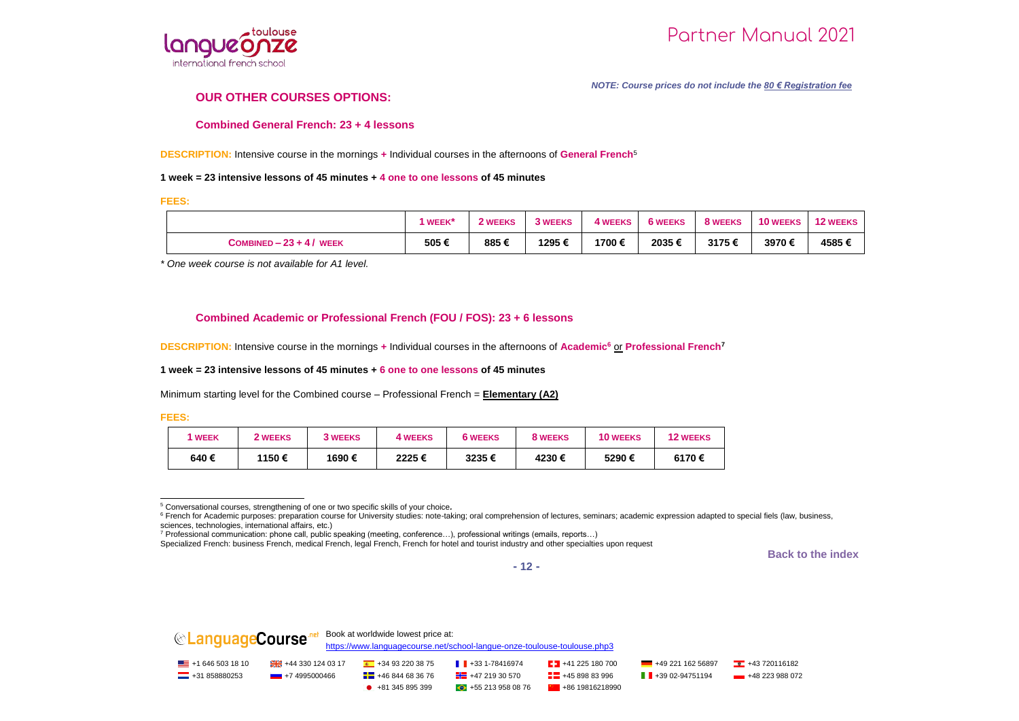

#### *NOTE: Course prices do not include the 80 € Registration fee*

#### **OUR OTHER COURSES OPTIONS:**

#### **Combined General French: 23 + 4 lessons**

**DESCRIPTION:** Intensive course in the mornings **+** Individual courses in the afternoons of **General French**<sup>5</sup>

#### **1 week = 23 intensive lessons of 45 minutes + 4 one to one lessons of 45 minutes**

**FEES:**

|                          | <b>WEEK</b> * | 2 WEEKS | <b>3 WEEKS</b> | <b>4 WEEKS</b> | <b>6 WEEKS</b> | 8 WEEKS | <b>10 WEEKS</b> | <b>12 WEEKS</b> |
|--------------------------|---------------|---------|----------------|----------------|----------------|---------|-----------------|-----------------|
| COMBINED $-23 + 4/$ WEEK | 505 €         | 885€    | 1295€          | 1700 €         | 2035€          | 3175€   | 3970€           | 4585€           |

*\* One week course is not available for A1 level.*

#### **Combined Academic or Professional French (FOU / FOS): 23 + 6 lessons**

**DESCRIPTION:** Intensive course in the mornings **+** Individual courses in the afternoons of **Academic<sup>6</sup>** or **Professional French<sup>7</sup>**

#### **1 week = 23 intensive lessons of 45 minutes + 6 one to one lessons of 45 minutes**

Minimum starting level for the Combined course – Professional French = **Elementary (A2)**

**FEES:** 

| <b>WEEK</b> | 2 WEEKS | <b>3 WEEKS</b> | 4 WEEKS | <b>6 WEEKS</b> | 8 WEEKS | <b>10 WEEKS</b> | <b>12 WEEKS</b> |
|-------------|---------|----------------|---------|----------------|---------|-----------------|-----------------|
| 640€        | 1150€   | 1690 €         | 2225€   | 3235€          | 4230€   | 5290€           | 6170€           |

l <sup>5</sup> Conversational courses, strengthening of one or two specific skills of your choice*.*

**Back to the index**

**- 12 -**



<sup>&</sup>lt;sup>6</sup> French for Academic purposes: preparation course for University studies: note-taking; oral comprehension of lectures, seminars; academic expression adapted to special fiels (law, business, sciences, technologies, international affairs, etc.)

<sup>7</sup> Professional communication: phone call, public speaking (meeting, conference…), professional writings (emails, reports…)

Specialized French: business French, medical French, legal French, French for hotel and tourist industry and other specialties upon request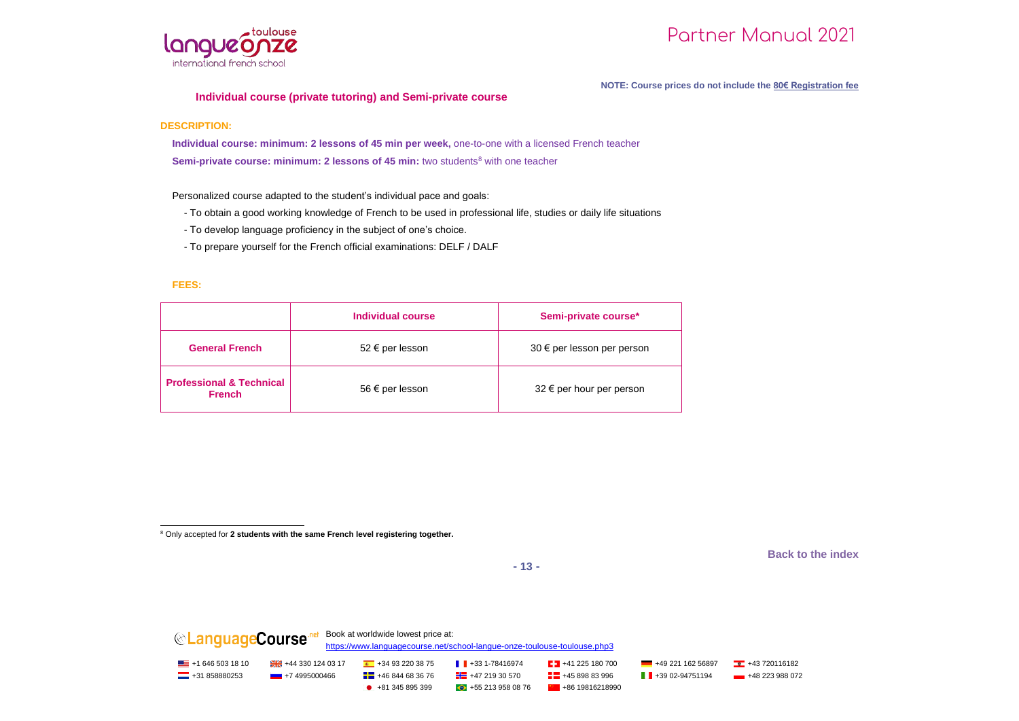

#### **NOTE: Course prices do not include the 80€ Registration fee**

#### **Individual course (private tutoring) and Semi-private course**

#### **DESCRIPTION:**

**Individual course: minimum: 2 lessons of 45 min per week,** one-to-one with a licensed French teacher **Semi-private course: minimum: 2 lessons of 45 min:** two students<sup>8</sup> with one teacher

Personalized course adapted to the student's individual pace and goals:

- To obtain a good working knowledge of French to be used in professional life, studies or daily life situations
- To develop language proficiency in the subject of one's choice.
- To prepare yourself for the French official examinations: DELF / DALF

#### **FEES:**

|                                                      | Individual course | Semi-private course*            |
|------------------------------------------------------|-------------------|---------------------------------|
| <b>General French</b>                                | 52 € per lesson   | $30 \in$ per lesson per person  |
| <b>Professional &amp; Technical</b><br><b>French</b> | 56 € per lesson   | $32 \notin$ per hour per person |

j <sup>8</sup> Only accepted for **2 students with the same French level registering together.**

**Back to the index**

**- 13 -**

**CLanguageCourse** Report at worldwide lowest price at: <https://www.languagecourse.net/school-langue-onze-toulouse-toulouse.php3> <u>■</u> +1 646 503 18 10 +43 320 124 03 17 +43 93 220 38 75 +34 93 220 38 75 +43 31-78416974 +41 225 180 700 +49 221 162 56897 +43 720116182  $\blacksquare$  +31 858880253 +7 4995000466  $\blacksquare$  +46 844 68 36 76  $\blacksquare$  +47 219 30 570  $\blacksquare$  +48 289 83 996  $\blacksquare$  +49 02-94751194 +48 223 988 072  $\bullet$  +81 345 895 399  $\bullet$  +55 213 958 08 76  $\bullet$  +86 19816218990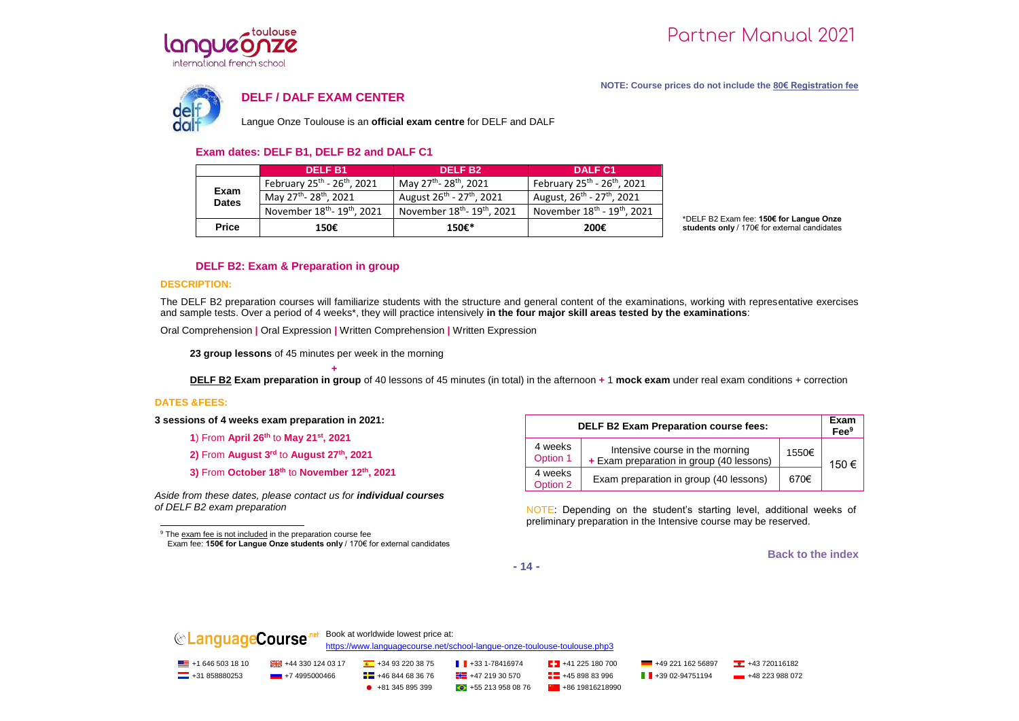

#### **NOTE: Course prices do not include the 80€ Registration fee**



#### **DELF / DALF EXAM CENTER**

Langue Onze Toulouse is an **official exam centre** for DELF and DALF

#### **Exam dates: DELF B1, DELF B2 and DALF C1**

|                      | <b>DELF B1</b>                                      | DELF B <sub>2</sub>                                 | <b>DALF C1</b>                                      |
|----------------------|-----------------------------------------------------|-----------------------------------------------------|-----------------------------------------------------|
| Exam<br><b>Dates</b> | February $25^{th}$ - $26^{th}$ , 2021               | May 27 <sup>th</sup> - 28 <sup>th</sup> , 2021      | February $25^{th}$ - $26^{th}$ , 2021               |
|                      | May 27 <sup>th</sup> - 28 <sup>th</sup> , 2021      | August 26 <sup>th</sup> - 27 <sup>th</sup> , 2021   | August, 26 <sup>th</sup> - 27 <sup>th</sup> , 2021  |
|                      | November 18 <sup>th</sup> - 19 <sup>th</sup> , 2021 | November 18 <sup>th</sup> - 19 <sup>th</sup> , 2021 | November 18 <sup>th</sup> - 19 <sup>th</sup> , 2021 |
| <b>Price</b>         | 150€                                                | 150€*                                               | 200€                                                |

\*DELF B2 Exam fee: **150€ for Langue Onze students only** / 170€ for external candidates

#### **DELF B2: Exam & Preparation in group**

#### **DESCRIPTION:**

The DELF B2 preparation courses will familiarize students with the structure and general content of the examinations, working with representative exercises and sample tests. Over a period of 4 weeks\*, they will practice intensively **in the four major skill areas tested by the examinations**:

Oral Comprehension **|** Oral Expression **|** Written Comprehension **|** Written Expression

**23 group lessons** of 45 minutes per week in the morning

**+ DELF B2 Exam preparation in group** of 40 lessons of 45 minutes (in total) in the afternoon **+** 1 **mock exam** under real exam conditions + correction

#### **DATES &FEES:**

j

**3 sessions of 4 weeks exam preparation in 2021:**

- **1**) From **April 26th** to **May 21st, 2021**
- **2)** From **August 3rd** to **August 27th, 2021**
- **3)** From **October 18th** to **November 12th, 2021**

*Aside from these dates, please contact us for individual courses of DELF B2 exam preparation* 

<sup>9</sup> The exam fee is not included in the preparation course fee Exam fee: **150€ for Langue Onze students only** / 170€ for external candidates

| <b>DELF B2 Exam Preparation course fees:</b> |                                                                             |       |       |  |  |
|----------------------------------------------|-----------------------------------------------------------------------------|-------|-------|--|--|
| 4 weeks<br>Option 1                          | Intensive course in the morning<br>+ Exam preparation in group (40 lessons) | 1550€ | 150 € |  |  |
| 4 weeks<br>Option 2                          | Exam preparation in group (40 lessons)                                      | 670€  |       |  |  |

NOTE: Depending on the student's starting level, additional weeks of preliminary preparation in the Intensive course may be reserved.

**Back to the index**

**- 14 -**

| <b>  ®LanguageCourse</b>  |                                     | Book at worldwide lowest price at: | https://www.languagecourse.net/school-langue-onze-toulouse-toulouse.php3 |                              |                                |                             |
|---------------------------|-------------------------------------|------------------------------------|--------------------------------------------------------------------------|------------------------------|--------------------------------|-----------------------------|
| $\equiv$ +1 646 503 18 10 | $\frac{124}{124}$ +44 330 124 03 17 | $+34932203875$                     | $\blacksquare$ +33 1-78416974                                            | $\sqrt{21}$ +41 225 180 700  | $+4922116256897$               | $\frac{1}{2}$ +43 720116182 |
| $-$ +31 858880253         | $-$ +7 4995000466                   | $\frac{1}{2}$ +46 844 68 36 76     | $\frac{1}{2}$ +47 219 30 570                                             | $\frac{1}{2}$ +45 898 83 996 | $\blacksquare$ +39 02-94751194 | $+48223988072$              |
|                           |                                     | $+81.345.895.399$                  | $+552139580876$                                                          | $+8619816218990$             |                                |                             |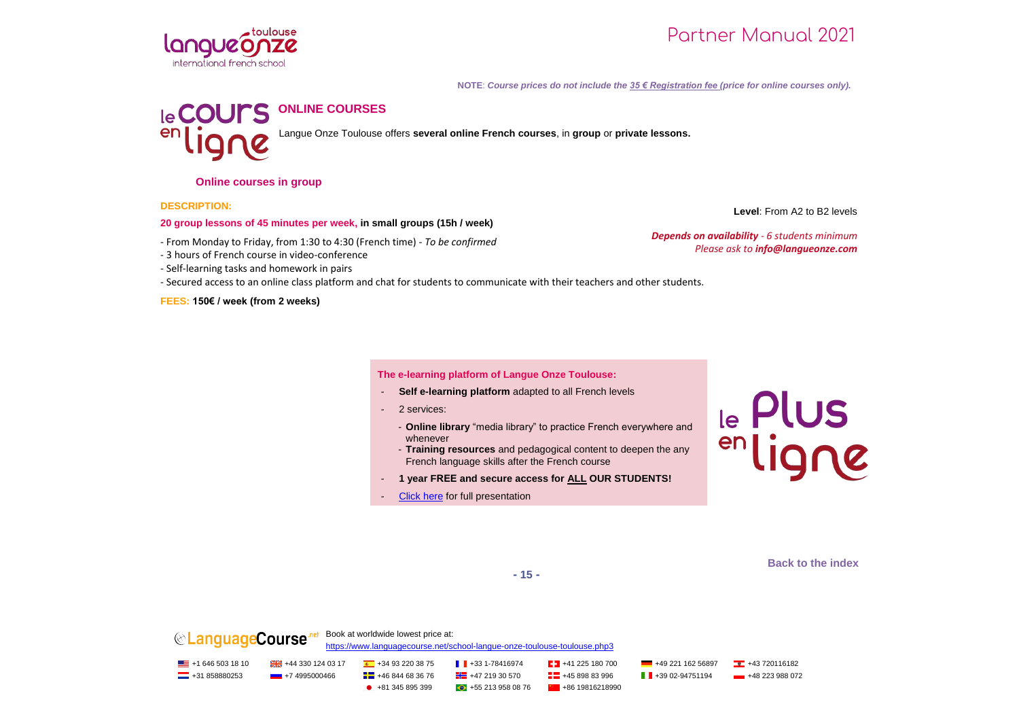

**NOTE**: *Course prices do not include the 35 € Registration fee (price for online courses only).*



Langue Onze Toulouse offers **several online French courses**, in **group** or **private lessons.**

**Online courses in group**

**DESCRIPTION:**

#### **20 group lessons of 45 minutes per week, in small groups (15h / week)**

- From Monday to Friday, from 1:30 to 4:30 (French time) - *To be confirmed*

- 3 hours of French course in video-conference

- Self-learning tasks and homework in pairs

- Secured access to an online class platform and chat for students to communicate with their teachers and other students.

**FEES: 150€ / week (from 2 weeks)**

**The e-learning platform of Langue Onze Toulouse:**

- **Self e-learning platform** adapted to all French levels
- 2 services:
	- **Online library** "media library" to practice French everywhere and whenever
	- **Training resources** and pedagogical content to deepen the any French language skills after the French course
- **1 year FREE and secure access for ALL OUR STUDENTS!**
- Click here for full presentation

le Plus<br>enligne

**Level**: From A2 to B2 levels

*Depends on availability - 6 students minimum*

*Please ask to info@langueonze.com* 

**Back to the index**

**- 15 -**

**CLanguageCourse** Repok at worldwide lowest price at: <https://www.languagecourse.net/school-langue-onze-toulouse-toulouse.php3> <u>■</u> +1 646 503 18 10 +43 320 124 03 17 +43 93 220 38 75 +34 93 220 38 75 +43 31-78416974 +41 225 180 700 +49 221 162 56897 +43 720116182  $\Box$  +31 858880253 +7 4995000466  $\Box$  +46 844 68 36 76  $\Box$  +47 219 30 570  $\Box$  +45 898 83 996  $\Box$  +39 02-94751194 +48 223 988 072  $\bullet$  +81 345 895 399  $\bullet$  +55 213 958 08 76  $\bullet$  +86 19816218990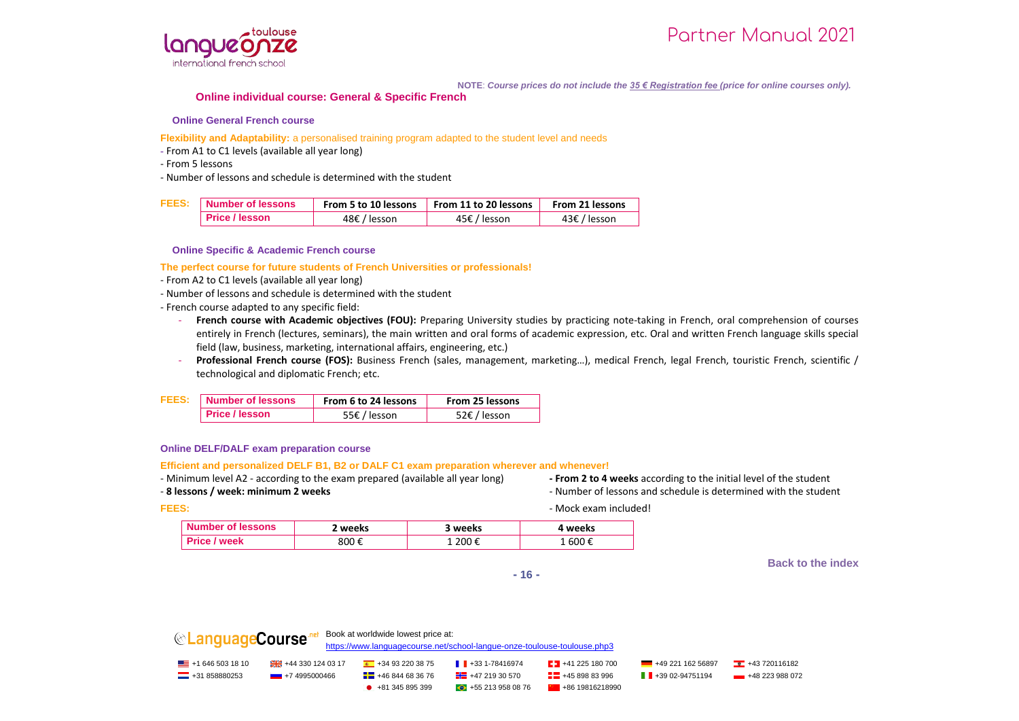

**NOTE**: *Course prices do not include the 35 € Registration fee (price for online courses only).*

#### **Online individual course: General & Specific French**

#### **Online General French course**

#### **Flexibility and Adaptability:** a personalised training program adapted to the student level and needs

- **-** From A1 to C1 levels (available all year long)
- From 5 lessons
- Number of lessons and schedule is determined with the student

| <b>FEES:</b> | Number of lessons     |              | From 5 to 10 lessons From 11 to 20 lessons | From 21 lessons |  |
|--------------|-----------------------|--------------|--------------------------------------------|-----------------|--|
|              | <b>Price / lesson</b> | 48€ / lesson | 45€ / lesson                               | 43€ / lesson    |  |

#### **Online Specific & Academic French course**

**The perfect course for future students of French Universities or professionals!**

- From A2 to C1 levels (available all year long)
- Number of lessons and schedule is determined with the student
- French course adapted to any specific field:
	- French course with Academic objectives (FOU): Preparing University studies by practicing note-taking in French, oral comprehension of courses entirely in French (lectures, seminars), the main written and oral forms of academic expression, etc. Oral and written French language skills special field (law, business, marketing, international affairs, engineering, etc.)
	- Professional French course (FOS): Business French (sales, management, marketing...), medical French, legal French, touristic French, scientific / technological and diplomatic French; etc.

| <b>FEES:</b> | Number of lessons     | From 6 to 24 lessons | From 25 lessons |  |  |
|--------------|-----------------------|----------------------|-----------------|--|--|
|              | <b>Price / lesson</b> | 55€ / lesson         | 52€ / lesson    |  |  |

#### **Online DELF/DALF exam preparation course**

#### **Efficient and personalized DELF B1, B2 or DALF C1 exam preparation wherever and whenever!**

- Minimum level A2 - according to the exam prepared (available all year long) **- From 2 to 4 weeks** according to the initial level of the student

- **8** lessons / week: minimum 2 weeks **and structure is a lesson in the student** of lessons and schedule is determined with the student

**FEES:**  $\blacksquare$ 

| Number of lessons | weeks | weeks | . weeks |
|-------------------|-------|-------|---------|
| week              | 800 € | 200€  | . 600 € |

**Back to the index**

**- 16 -**



| $\equiv$ +1 646 503 18 10 | 4443301240317     | $+34932203875$                 | $\parallel$ +33 1-78416974   | $\frac{1}{2}$ +41 225 180 700 | $+4922116256897$            | $+43720116182$ |
|---------------------------|-------------------|--------------------------------|------------------------------|-------------------------------|-----------------------------|----------------|
| $\equiv$ +31 858880253    | $-$ +7 4995000466 | $\frac{1}{2}$ +46 844 68 36 76 | $+4721930570$                | $\frac{1}{2}$ +45 898 83 996  | $\parallel$ +39 02-94751194 | $+48223988072$ |
|                           |                   | $+81345895399$                 | $\bigodot$ +55 213 958 08 76 | $+8619816218990$              |                             |                |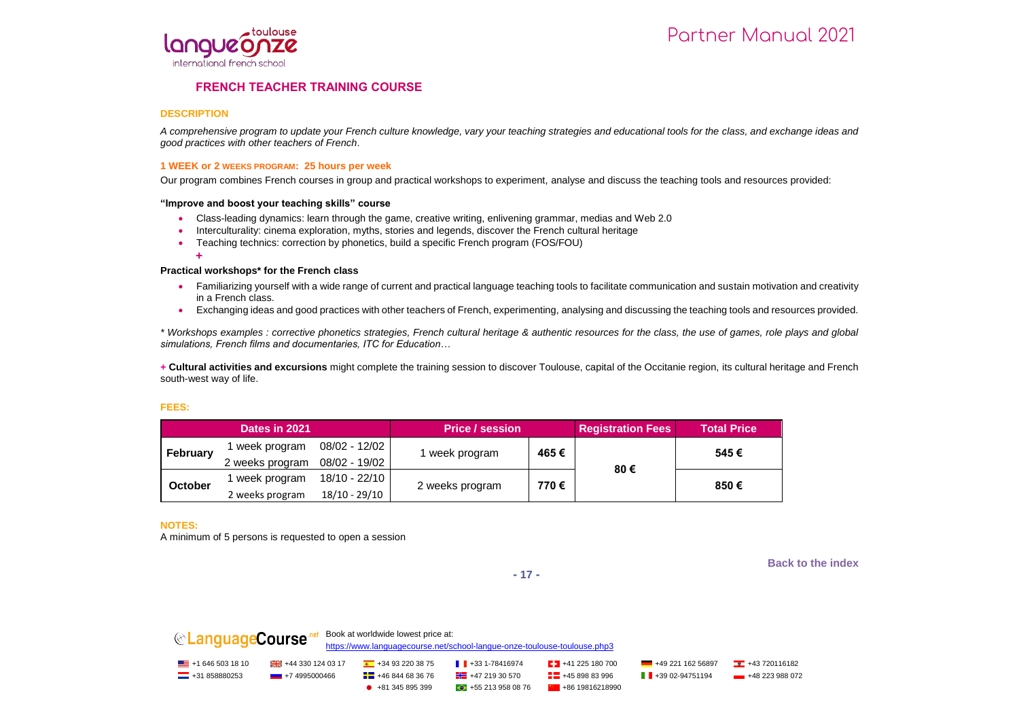

#### **FRENCH TEACHER TRAINING COURSE**

#### **DESCRIPTION**

*A comprehensive program to update your French culture knowledge, vary your teaching strategies and educational tools for the class, and exchange ideas and good practices with other teachers of French*.

#### **1 WEEK or 2 WEEKS PROGRAM: 25 hours per week**

Our program combines French courses in group and practical workshops to experiment, analyse and discuss the teaching tools and resources provided:

#### **"Improve and boost your teaching skills" course**

- Class-leading dynamics: learn through the game, creative writing, enlivening grammar, medias and Web 2.0
- Interculturality: cinema exploration, myths, stories and legends, discover the French cultural heritage
- Teaching technics: correction by phonetics, build a specific French program (FOS/FOU)

**+**

#### **Practical workshops\* for the French class**

- Familiarizing yourself with a wide range of current and practical language teaching tools to facilitate communication and sustain motivation and creativity in a French class.
- Exchanging ideas and good practices with other teachers of French, experimenting, analysing and discussing the teaching tools and resources provided.

*\* Workshops examples : corrective phonetics strategies, French cultural heritage & authentic resources for the class, the use of games, role plays and global simulations, French films and documentaries, ITC for Education…*

**+ Cultural activities and excursions** might complete the training session to discover Toulouse, capital of the Occitanie region, its cultural heritage and French south-west way of life.

#### **FEES:**

| Dates in 2021 |                 |               | <b>Price / session</b> |      | <b>Registration Fees</b> | <b>Total Price</b> |
|---------------|-----------------|---------------|------------------------|------|--------------------------|--------------------|
| February      | week program    | 08/02 - 12/02 | week program           | 465€ |                          | 545€               |
|               | 2 weeks program | 08/02 - 19/02 |                        |      | 80€                      |                    |
|               | week program    | 18/10 - 22/10 | 2 weeks program        | 770€ |                          | 850€               |
| October       | 2 weeks program | 18/10 - 29/10 |                        |      |                          |                    |

**NOTES:** 

A minimum of 5 persons is requested to open a session

**Back to the index**



**CanguageCourse** net Book at worldwide lowest price at: <https://www.languagecourse.net/school-langue-onze-toulouse-toulouse.php3> <u>■</u> +1 646 503 18 10 +43 320 124 03 17 +43 93 220 38 75 +34 93 220 38 75 +43 31-78416974 +41 225 180 700 +49 221 162 56897 +43 720116182  $\Box$  +31 858880253 +7 4995000466  $\Box$  +46 844 68 36 76  $\Box$  +47 219 30 570  $\Box$  +45 898 83 996  $\Box$  +39 02-94751194 +48 223 988 072  $\bullet$  +81 345 895 399  $\bullet$  +55 213 958 08 76  $\bullet$  +86 19816218990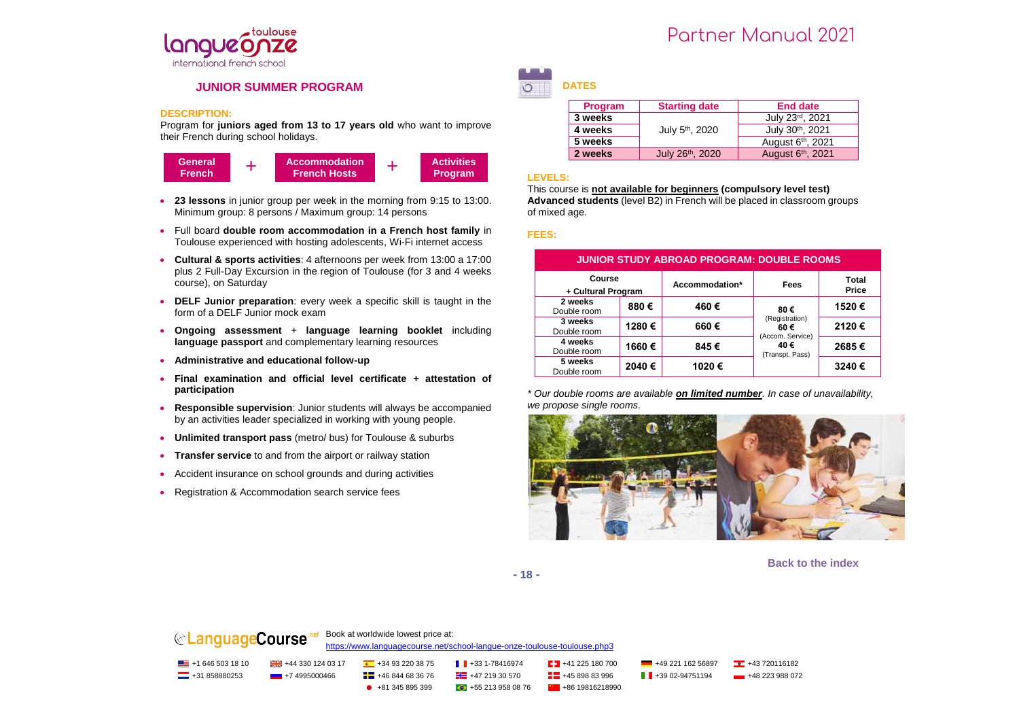

#### **JUNIOR SUMMER PROGRAM**

#### **DESCRIPTION:**

Program for **juniors aged from 13 to 17 years old** who want to improve their French during school holidays.



- **23 lessons** in junior group per week in the morning from 9:15 to 13:00. Minimum group: 8 persons / Maximum group: 14 persons
- Full board **double room accommodation in a French host family** in Toulouse experienced with hosting adolescents, Wi-Fi internet access
- **Cultural & sports activities**: 4 afternoons per week from 13:00 a 17:00 plus 2 Full-Day Excursion in the region of Toulouse (for 3 and 4 weeks course), on Saturday
- **DELF Junior preparation**: every week a specific skill is taught in the form of a DELF Junior mock exam
- **Ongoing assessment** + **language learning booklet** including **language passport** and complementary learning resources
- **Administrative and educational follow-up**
- **Final examination and official level certificate + attestation of participation**
- **Responsible supervision**: Junior students will always be accompanied by an activities leader specialized in working with young people.
- **Unlimited transport pass** (metro/ bus) for Toulouse & suburbs
- **Transfer service** to and from the airport or railway station
- Accident insurance on school grounds and during activities
- Registration & Accommodation search service fees

## Partner Manual 2021

**DATES**

| Program | <b>Starting date</b>        | <b>End date</b>               |  |  |
|---------|-----------------------------|-------------------------------|--|--|
| 3 weeks |                             | July 23rd, 2021               |  |  |
| 4 weeks | July 5 <sup>th</sup> , 2020 | July 30th, 2021               |  |  |
| 5 weeks |                             | August 6 <sup>th</sup> , 2021 |  |  |
| 2 weeks | July 26th, 2020             | August 6th, 2021              |  |  |

#### **LEVELS:**

This course is **not available for beginners (compulsory level test) Advanced students** (level B2) in French will be placed in classroom groups of mixed age.

#### **FEES:**

| <b>JUNIOR STUDY ABROAD PROGRAM: DOUBLE ROOMS</b> |       |                |                                           |                              |  |  |  |
|--------------------------------------------------|-------|----------------|-------------------------------------------|------------------------------|--|--|--|
| Course<br>+ Cultural Program                     |       | Accommodation* |                                           | <b>Total</b><br><b>Price</b> |  |  |  |
| 2 weeks<br>Double room                           | 880€  | 460€<br>80€    |                                           | 1520€                        |  |  |  |
| 3 weeks<br>Double room                           | 1280€ | 660€           | (Registration)<br>60€<br>(Accom. Service) | 2120€                        |  |  |  |
| 4 weeks<br>Double room                           | 1660€ | 845€           | 40€<br>(Transpt. Pass)                    | 2685€                        |  |  |  |
| 5 weeks<br>Double room                           | 2040€ | 1020€          |                                           | 3240€                        |  |  |  |

*\* Our double rooms are available on limited number. In case of unavailability, we propose single rooms.*



**Back to the index**

**- 18 -**

## **CLanguageCourse** Repok at worldwide lowest price at:

<https://www.languagecourse.net/school-langue-onze-toulouse-toulouse.php3>

<u>■</u> +1 646 503 18 10 +43 320 124 03 17 +43 93 220 38 75 +34 93 220 38 75 +43 31-78416974 +41 225 180 700 +49 221 162 56897 +43 720116182  $\Box$  +31 858880253 +7 4995000466  $\Box$  +46 844 68 36 76  $\Box$  +47 219 30 570  $\Box$  +45 898 83 996  $\Box$  +39 02-94751194 +48 223 988 072  $\bullet$  +81 345 895 399  $\bullet$  +55 213 958 08 76  $\bullet$  +86 19816218990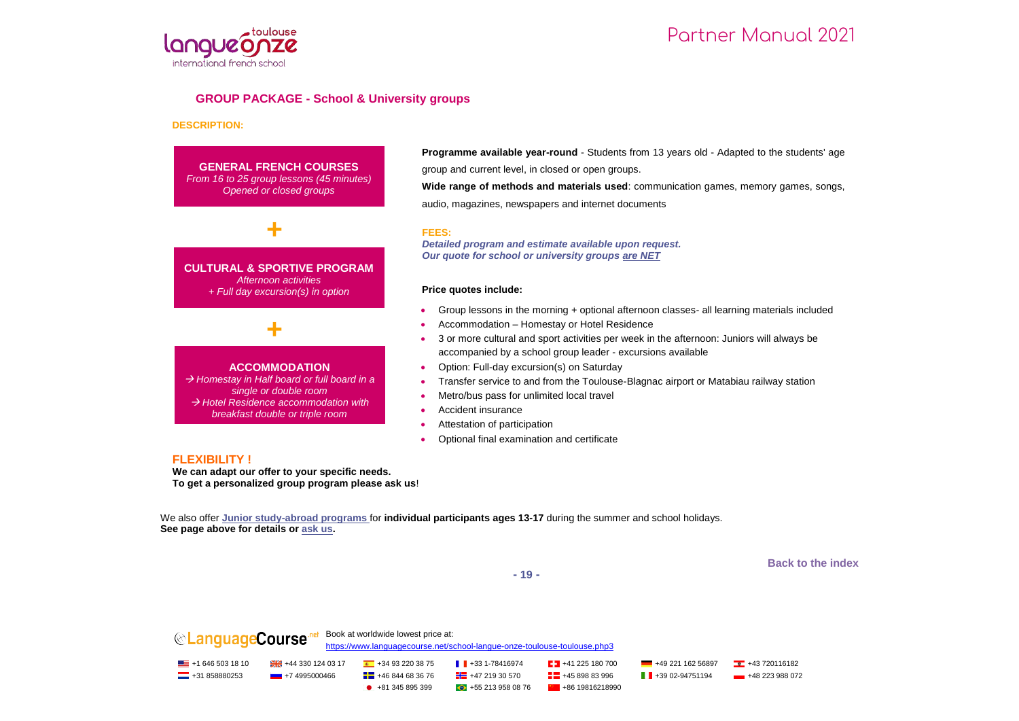

#### **GROUP PACKAGE - School & University groups**

#### **DESCRIPTION:**

**GENERAL FRENCH COURSES** *From 16 to 25 group lessons (45 minutes) Opened or closed groups*

**CULTURAL & SPORTIVE PROGRAM** *Afternoon activities + Full day excursion(s) in option* 

**+**

**ACCOMMODATION** *Homestay in Half board or full board in a*  **+**

*single or double room Hotel Residence accommodation with breakfast double or triple room*

**Programme available year-round** - Students from 13 years old - Adapted to the students' age group and current level, in closed or open groups. **Wide range of methods and materials used**: communication games, memory games, songs,

audio, magazines, newspapers and internet documents

#### **FEES:**

*Detailed program and estimate available upon request. Our quote for school or university groups are NET*

#### **Price quotes include:**

- Group lessons in the morning + optional afternoon classes- all learning materials included
- Accommodation Homestay or Hotel Residence
- 3 or more cultural and sport activities per week in the afternoon: Juniors will always be accompanied by a school group leader - excursions available
- Option: Full-day excursion(s) on Saturday
- Transfer service to and from the Toulouse-Blagnac airport or Matabiau railway station
- Metro/bus pass for unlimited local travel
- Accident insurance
- Attestation of participation
- Optional final examination and certificate

#### **FLEXIBILITY !**

**We can adapt our offer to your specific needs. To get a personalized group program please ask us**!

We also offer **Junior study-abroad programs** for **individual participants ages 13-17** during the summer and school holidays. **See page above for details or ask us.**

**Back to the index**

**- 19 -**

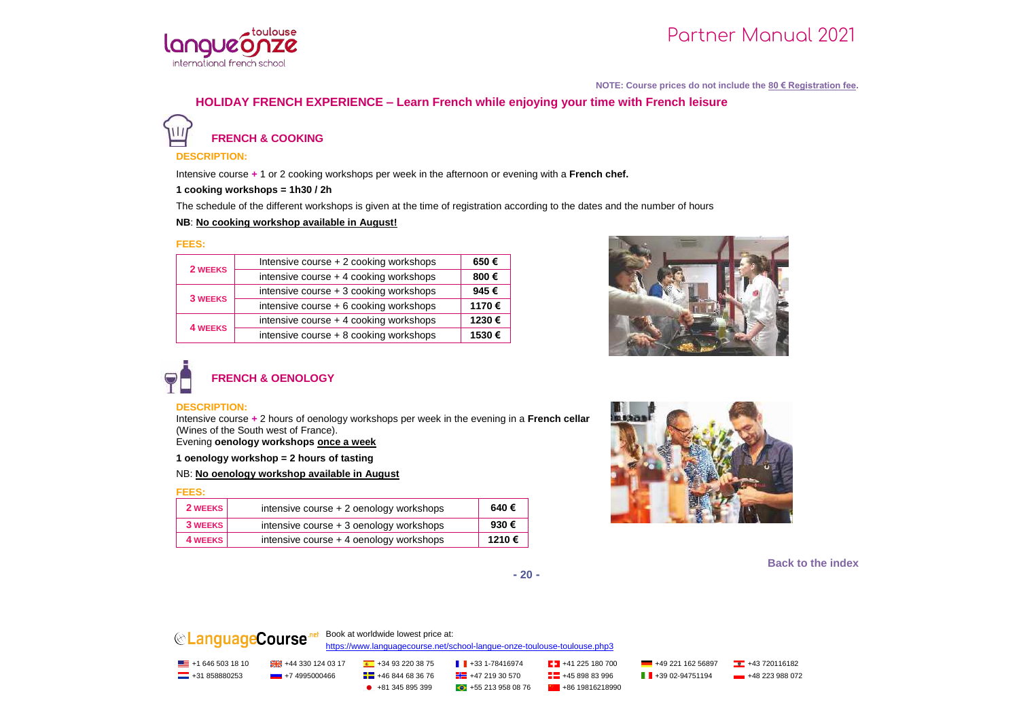

**NOTE: Course prices do not include the 80 € Registration fee.**

## **HOLIDAY FRENCH EXPERIENCE – Learn French while enjoying your time with French leisure**

**FRENCH & COOKING**

#### **DESCRIPTION:**

Intensive course **+** 1 or 2 cooking workshops per week in the afternoon or evening with a **French chef.**

**1 cooking workshops = 1h30 / 2h**

The schedule of the different workshops is given at the time of registration according to the dates and the number of hours

#### **NB**: **No cooking workshop available in August!**

#### **FEES:**

| 2 WEEKS        | Intensive course + 2 cooking workshops | 650€  |
|----------------|----------------------------------------|-------|
|                | intensive course + 4 cooking workshops | 800€  |
| <b>3 WEEKS</b> | intensive course + 3 cooking workshops | 945€  |
|                | intensive course + 6 cooking workshops | 1170€ |
| <b>4 WEEKS</b> | intensive course + 4 cooking workshops | 1230€ |
|                | intensive course + 8 cooking workshops | 1530€ |



# **FRENCH & OENOLOGY**

#### **DESCRIPTION:**

Intensive course **+** 2 hours of oenology workshops per week in the evening in a **French cellar** (Wines of the South west of France).

Evening **oenology workshops once a week**

**1 oenology workshop = 2 hours of tasting**

NB: **No oenology workshop available in August**

#### **FEES:**

| 2 WEEKS | intensive course $+2$ oenology workshops | 640€  |
|---------|------------------------------------------|-------|
| 3 WEEKS | intensive course $+3$ oenology workshops | 930€  |
| 4 WEEKS | intensive course $+4$ oenology workshops | 1210€ |



**Back to the index**

**- 20 -**



<https://www.languagecourse.net/school-langue-onze-toulouse-toulouse.php3>

| $\equiv$ +1 646 503 18 10 |                 | $+34932203875$                 | $\parallel$ +33 1-78416974   | $\frac{1}{2}$ +41 225 180 700 | +49 221 162 56897           | $+43720116182$ |
|---------------------------|-----------------|--------------------------------|------------------------------|-------------------------------|-----------------------------|----------------|
| $-$ +31 858880253         | - +7 4995000466 | $\frac{1}{2}$ +46 844 68 36 76 | $\frac{1}{2}$ +47 219 30 570 | $-4589883996$                 | $\parallel$ +39 02-94751194 | $+48223988072$ |
|                           |                 | $+81,345,895,399$              | $\bigodot$ +55 213 958 08 76 | $+8619816218990$              |                             |                |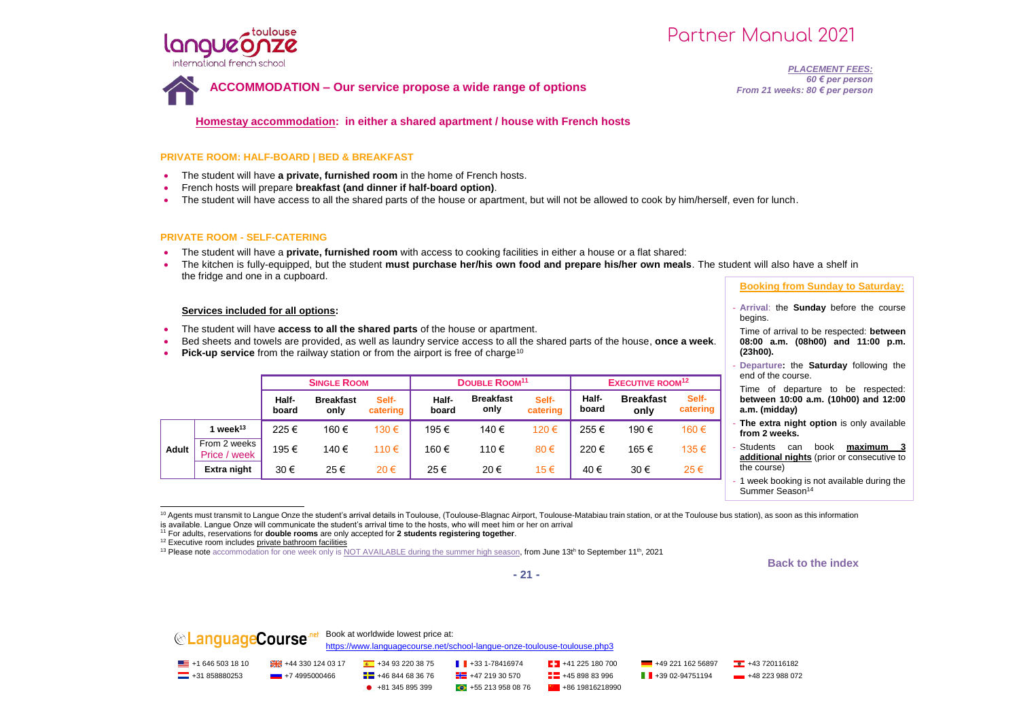

**ACCOMMODATION – Our service propose a wide range of options**

*PLACEMENT FEES: 60 € per person From 21 weeks: 80 € per person*

**Homestay accommodation: in either a shared apartment / house with French hosts**

#### **PRIVATE ROOM: HALF-BOARD | BED & BREAKFAST**

- The student will have **a private, furnished room** in the home of French hosts.
- French hosts will prepare **breakfast (and dinner if half-board option)**.
- The student will have access to all the shared parts of the house or apartment, but will not be allowed to cook by him/herself, even for lunch.

#### **PRIVATE ROOM - SELF-CATERING**

- The student will have a **private, furnished room** with access to cooking facilities in either a house or a flat shared:
- The kitchen is fully-equipped, but the student **must purchase her/his own food and prepare his/her own meals**. The student will also have a shelf in the fridge and one in a cupboard.

#### **Services included for all options:**

- The student will have **access to all the shared parts** of the house or apartment.
- Bed sheets and towels are provided, as well as laundry service access to all the shared parts of the house, **once a week**.
- **Pick-up service** from the railway station or from the airport is free of charge<sup>10</sup>

|       |                              | <b>SINGLE ROOM</b> |                          |                   | DOUBLE ROOM <sup>11</sup> |                          |                   | <b>EXECUTIVE ROOM<sup>12</sup></b> |                          |                   |
|-------|------------------------------|--------------------|--------------------------|-------------------|---------------------------|--------------------------|-------------------|------------------------------------|--------------------------|-------------------|
|       |                              | Half-<br>board     | <b>Breakfast</b><br>only | Self-<br>catering | Half-<br>board            | <b>Breakfast</b><br>only | Self-<br>catering | Half-<br>board                     | <b>Breakfast</b><br>only | Self-<br>catering |
|       | 1 week $13$                  | 225€               | 160 €                    | 130€              | 195€                      | 140 €                    | 120€              | 255€                               | 190 €                    | 160€              |
| Adult | From 2 weeks<br>Price / week | 195€               | 140€                     | 110€              | 160€                      | 110€                     | 80€               | 220€                               | 165 €                    | 135 €             |
|       | Extra night                  | 30€                | 25€                      | 20€               | 25€                       | 20€                      | 15€               | 40€                                | 30€                      | 25€               |

#### **Booking from Sunday to Saturday:**

- **Arrival**: the **Sunday** before the course begins.
- Time of arrival to be respected: **between 08:00 a.m. (08h00) and 11:00 p.m. (23h00).**
- **Departure:** the **Saturday** following the end of the course.

Time of departure to be respected: **between 10:00 a.m. (10h00) and 12:00 a.m. (midday)**

- **The extra night option** is only available **from 2 weeks.**
- Students can book **maximum 3 additional nights** (prior or consecutive to the course)
- 1 week booking is not available during the Summer Season<sup>14</sup>

<sup>10</sup> Agents must transmit to Langue Onze the student's arrival details in Toulouse, (Toulouse-Blagnac Airport, Toulouse-Matabiau train station, or at the Toulouse bus station), as soon as this information is available. Langue Onze will communicate the student's arrival time to the hosts, who will meet him or her on arrival

<sup>11</sup> For adults, reservations for **double rooms** are only accepted for **2 students registering together**.

<sup>12</sup> Executive room includes private bathroom facilities

j

#### **Back to the index**



**CLanguageCourse**<sup>nel</sup> Book at worldwide lowest price at: <https://www.languagecourse.net/school-langue-onze-toulouse-toulouse.php3> +1 646 503 18 10 +44 330 124 03 17 +34 93 220 38 75 +33 1-78416974 +41 225 180 700 +49 221 162 56897 +43 720116182  $\Box$  +31 858880253 +7 4995000466  $\Box$  +46 844 68 36 76  $\Box$  +47 219 30 570  $\Box$  +45 898 83 996  $\Box$  +39 02-94751194 +48 223 988 072  $\bullet$  +81 345 895 399  $\bullet$  +55 213 958 08 76  $\bullet$  +86 19816218990

<sup>&</sup>lt;sup>13</sup> Please note accommodation for one week only is NOT AVAILABLE during the summer high season, from June 13th to September 11<sup>th</sup>, 2021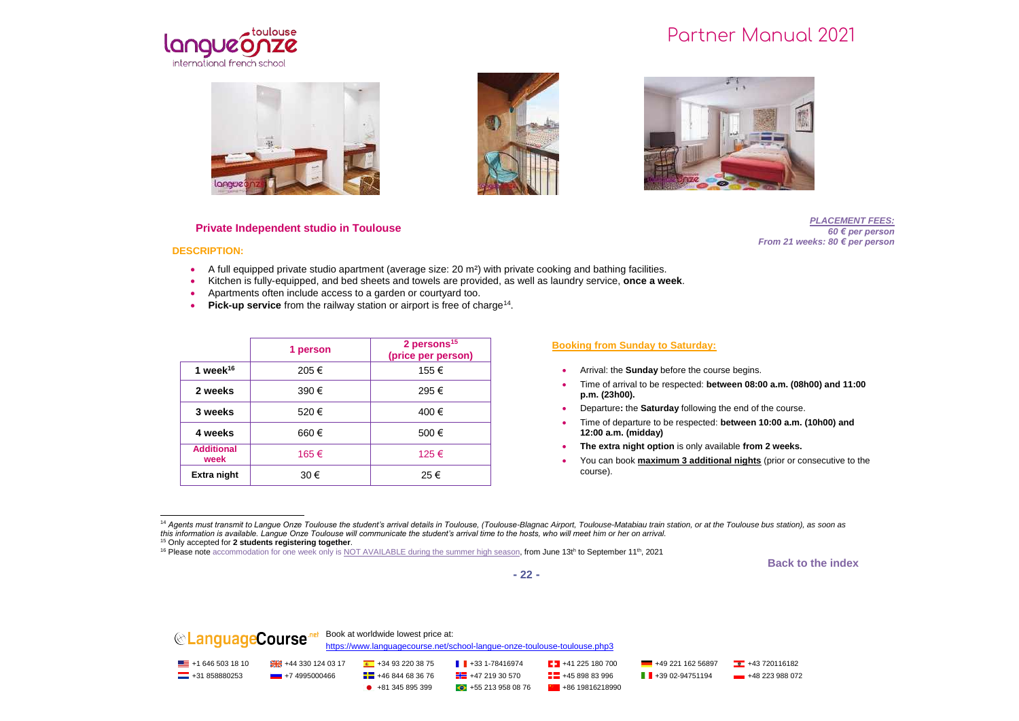







#### **Private Independent studio in Toulouse**

*PLACEMENT FEES: 60 € per person From 21 weeks: 80 € per person*

#### **DESCRIPTION:**

- A full equipped private studio apartment (average size: 20 m²) with private cooking and bathing facilities.
- Kitchen is fully-equipped, and bed sheets and towels are provided, as well as laundry service, **once a week**.
- Apartments often include access to a garden or courtyard too.
- Pick-up service from the railway station or airport is free of charge<sup>14</sup>.

|                           | 1 person | 2 persons <sup>15</sup><br>(price per person) |  |  |
|---------------------------|----------|-----------------------------------------------|--|--|
| 1 week $16$               | 205€     | 155 €                                         |  |  |
| 2 weeks                   | 390€     | 295€                                          |  |  |
| 3 weeks                   | 520€     | 400 €                                         |  |  |
| 4 weeks                   | 660€     | 500€                                          |  |  |
| <b>Additional</b><br>week | 165€     | 125 €                                         |  |  |
| Extra night               | 30€      | 25€                                           |  |  |

#### **Booking from Sunday to Saturday:**

- Arrival: the **Sunday** before the course begins.
- Time of arrival to be respected: **between 08:00 a.m. (08h00) and 11:00 p.m. (23h00).**
- Departure**:** the **Saturday** following the end of the course.
- Time of departure to be respected: **between 10:00 a.m. (10h00) and 12:00 a.m. (midday)**
- **The extra night option** is only available **from 2 weeks.**
- You can book **maximum 3 additional nights** (prior or consecutive to the course).

**Back to the index**



j <sup>14</sup> Agents must transmit to Langue Onze Toulouse the student's arrival details in Toulouse, (Toulouse-Blagnac Airport, Toulouse-Matabiau train station, or at the Toulouse bus station), as soon as *this information is available. Langue Onze Toulouse will communicate the student's arrival time to the hosts, who will meet him or her on arrival.*

<sup>15</sup> Only accepted for **2 students registering together**.

<sup>&</sup>lt;sup>16</sup> Please note accommodation for one week only is NOT AVAILABLE during the summer high season, from June 13th to September 11<sup>th</sup>, 2021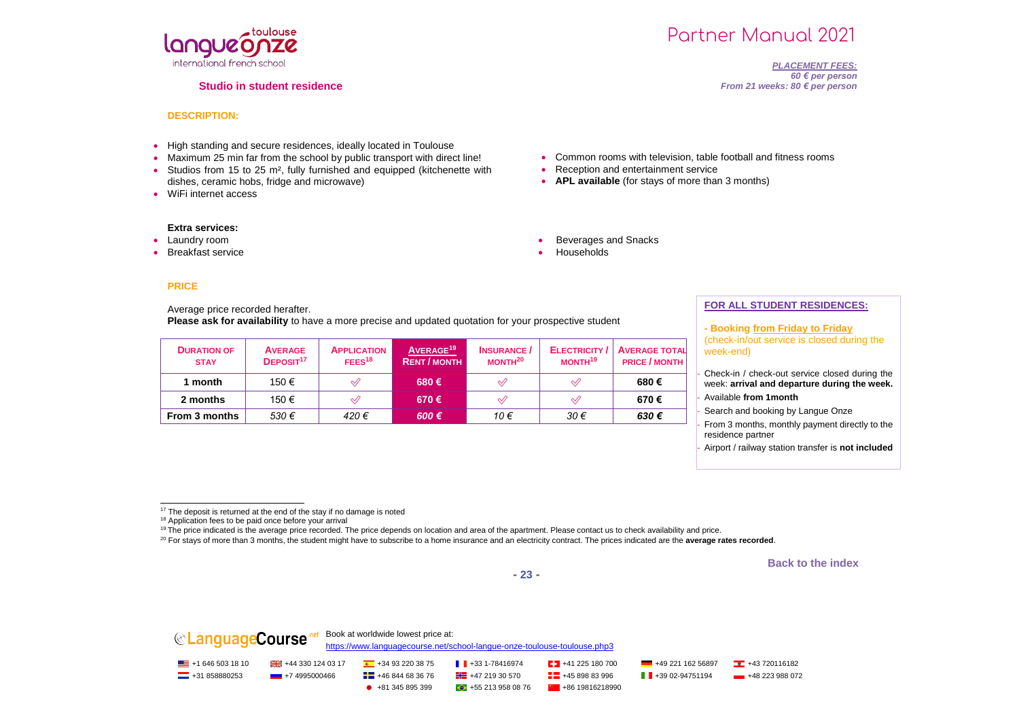

#### **Studio in student residence**

# Partner Manual 2021

*PLACEMENT FEES: 60 € per person From 21 weeks: 80 € per person*

#### **DESCRIPTION:**

- High standing and secure residences, ideally located in Toulouse
- Maximum 25 min far from the school by public transport with direct line!
- Studios from 15 to 25 m<sup>2</sup>, fully furnished and equipped (kitchenette with dishes, ceramic hobs, fridge and microwave)
- WiFi internet access

#### **Extra services:**

- Laundry room
- Breakfast service

#### **PRICE**

Average price recorded herafter. **Please ask for availability** to have a more precise and updated quotation for your prospective student

| <b>DURATION OF</b><br><b>STAY</b> | <b>AVERAGE</b><br>DEPOSIT <sup>17</sup> | <b>APPLICATION</b><br>FEES <sup>18</sup> | AVERAGE <sup>19</sup><br><b>RENT / MONTH</b> | <b>INSURANCE</b><br>MONTH <sup>20</sup> | <b>ELECTRICITY</b><br>MONTH <sup>19</sup>        | <b>AVERAGE TOTAL</b><br><b>PRICE / MONTH</b> |
|-----------------------------------|-----------------------------------------|------------------------------------------|----------------------------------------------|-----------------------------------------|--------------------------------------------------|----------------------------------------------|
| 1 month                           | 150€                                    | √∕                                       | 680€                                         | $\mathcal{A}$                           |                                                  | 680€                                         |
| 2 months                          | 150 €                                   | $\mathscr A$                             | 670€                                         | $\mathcal Q$                            | $\mathrel{\mathrel{\triangle}\!\!\!\!\triangle}$ | 670€                                         |
| From 3 months                     | 530€                                    | 420€                                     | $600 \in$                                    | 10€                                     | 30€                                              | 630€                                         |

• Common rooms with television, table football and fitness rooms

• Reception and entertainment service

Beverages and Snacks

Households

**APL available** (for stays of more than 3 months)

#### **FOR ALL STUDENT RESIDENCES:**

**- Booking from Friday to Friday** (check-in/out service is closed during the week-end)

Check-in / check-out service closed during the week: **arrival and departure during the week.** - Available **from 1month**

Search and booking by Langue Onze

From 3 months, monthly payment directly to the residence partner

- Airport / railway station transfer is **not included**

**Back to the index**



**CLanguageCourse** Repok at worldwide lowest price at: <https://www.languagecourse.net/school-langue-onze-toulouse-toulouse.php3> <u>■</u> +1 646 503 18 10 +43 320 124 03 17 +43 93 220 38 75 +34 93 220 38 75 +43 31-78416974 +41 225 180 700 +49 221 162 56897 +43 720116182  $\Box$  +31 858880253 +7 4995000466  $\Box$  +46 844 68 36 76  $\Box$  +47 219 30 570  $\Box$  +45 898 83 996  $\Box$  +39 02-94751194 +48 223 988 072  $\bullet$  +81 345 895 399  $\bullet$  +55 213 958 08 76  $\bullet$  +86 19816218990

<sup>1</sup> <sup>17</sup> The deposit is returned at the end of the stay if no damage is noted

<sup>&</sup>lt;sup>18</sup> Application fees to be paid once before your arrival

<sup>&</sup>lt;sup>19</sup> The price indicated is the average price recorded. The price depends on location and area of the apartment. Please contact us to check availability and price.

<sup>&</sup>lt;sup>20</sup> For stays of more than 3 months, the student might have to subscribe to a home insurance and an electricity contract. The prices indicated are the average rates recorded.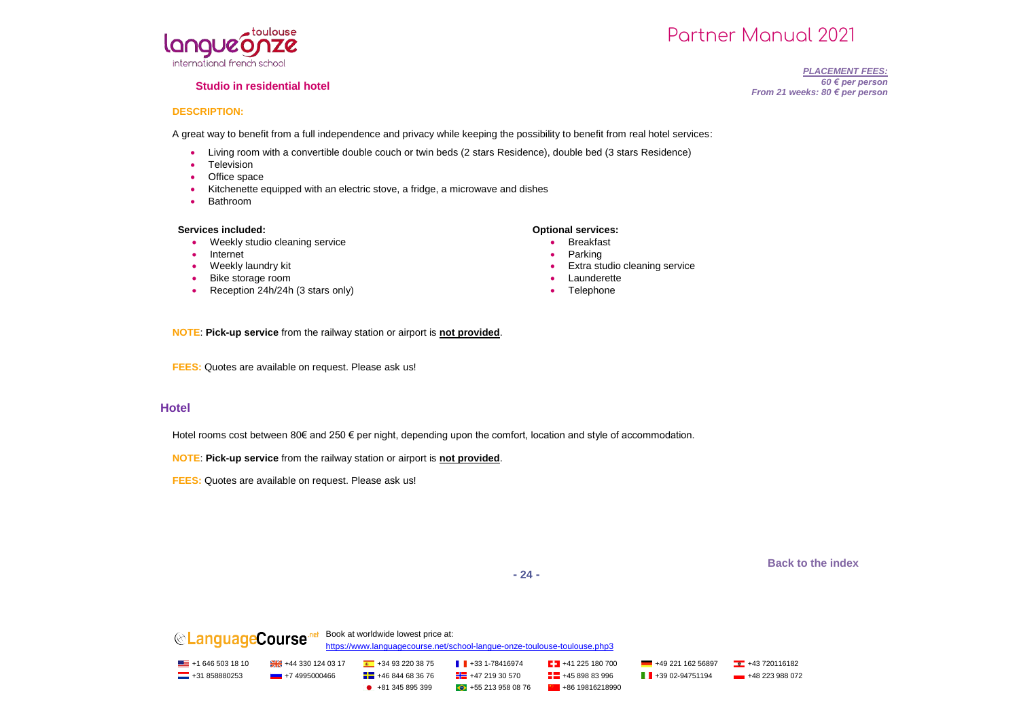

#### **Studio in residential hotel**

## Partner Manual 2021

#### *PLACEMENT FEES: 60 € per person From 21 weeks: 80 € per person*

#### **DESCRIPTION:**

A great way to benefit from a full independence and privacy while keeping the possibility to benefit from real hotel services:

- Living room with a convertible double couch or twin beds (2 stars Residence), double bed (3 stars Residence)
- Television
- Office space
- Kitchenette equipped with an electric stove, a fridge, a microwave and dishes
- Bathroom

#### **Services included: Optional services:**

- Weekly studio cleaning service
- Internet
- Weekly laundry kit
- Bike storage room
- Reception 24h/24h (3 stars only)

- **•** Breakfast
- Parking
- Extra studio cleaning service
- Launderette
- Telephone

**NOTE**: **Pick-up service** from the railway station or airport is **not provided**.

**FEES:** Quotes are available on request. Please ask us!

#### **Hotel**

Hotel rooms cost between 80€ and 250 € per night, depending upon the comfort, location and style of accommodation.

**NOTE**: **Pick-up service** from the railway station or airport is **not provided**.

**FEES:** Quotes are available on request. Please ask us!

**Back to the index**

**- 24 -**

**CanguageCourse** net Book at worldwide lowest price at: <https://www.languagecourse.net/school-langue-onze-toulouse-toulouse.php3> <u>■</u> +1 646 503 18 10 +43 320 124 03 17 +43 93 220 38 75 +34 93 220 38 75 +43 31-78416974 +41 225 180 700 +49 221 162 56897 +43 720116182 **---** +31 858880253 +7 4995000466 + +46 844 68 36 76 + +46 +47 219 30 570 + +46 898 83 996 + +39 02-94751194 + +48 223 988 072  $\bullet$  +81 345 895 399  $\bullet$  +55 213 958 08 76  $\bullet$  +86 19816218990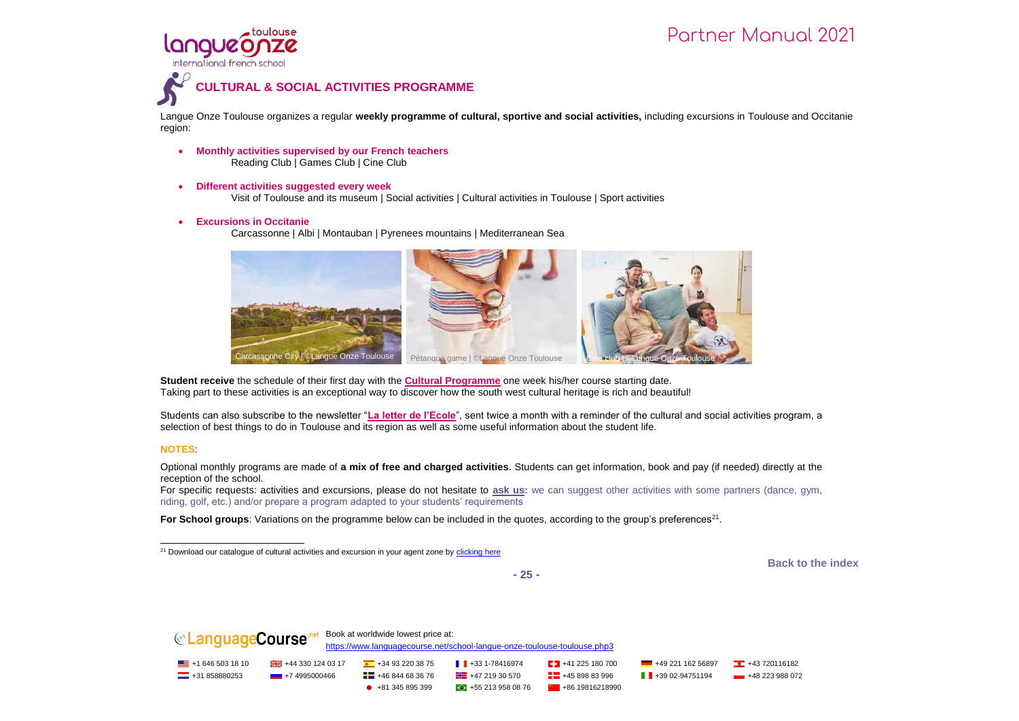

Langue Onze Toulouse organizes a regular **weekly programme of cultural, sportive and social activities,** including excursions in Toulouse and Occitanie region:

- **Monthly activities supervised by our French teachers** Reading Club | Games Club | Cine Club
- **Different activities suggested every week**

toulouse

langue

Visit of Toulouse and its museum | Social activities | Cultural activities in Toulouse | Sport activities

**Excursions in Occitanie**

Carcassonne | Albi | Montauban | Pyrenees mountains | Mediterranean Sea



**Student receive** the schedule of their first day with the **Cultural Programme** one week his/her course starting date. Taking part to these activities is an exceptional way to discover how the south west cultural heritage is rich and beautiful!

Students can also subscribe to the newsletter "**La letter de l'Ecole**", sent twice a month with a reminder of the cultural and social activities program, a selection of best things to do in Toulouse and its region as well as some useful information about the student life.

#### **NOTES**:

Optional monthly programs are made of **a mix of free and charged activities**. Students can get information, book and pay (if needed) directly at the reception of the school.

For specific requests: activities and excursions, please do not hesitate to **ask us:** we can suggest other activities with some partners (dance, gym, riding, golf, etc.) and/or prepare a program adapted to your students' requirements

For School groups: Variations on the programme below can be included in the quotes, according to the group's preferences<sup>21</sup>.

**Back to the index**

**- 25 -**



j <sup>21</sup> Download our catalogue of cultural activities and excursion in your agent zone by clicking here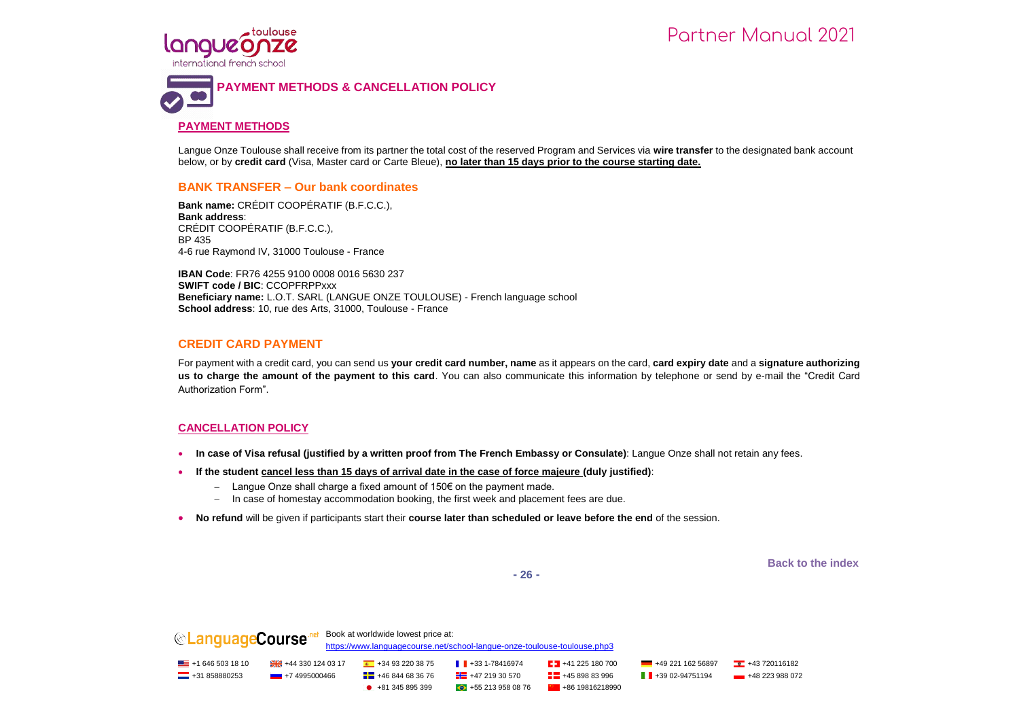

#### **PAYMENT METHODS**

toulouse

Langue Onze Toulouse shall receive from its partner the total cost of the reserved Program and Services via **wire transfer** to the designated bank account below, or by **credit card** (Visa, Master card or Carte Bleue), **no later than 15 days prior to the course starting date.**

#### **BANK TRANSFER – Our bank coordinates**

**Bank name:** CRÉDIT COOPÉRATIF (B.F.C.C.), **Bank address**: CRÉDIT COOPÉRATIF (B.F.C.C.), BP 435 4-6 rue Raymond IV, 31000 Toulouse - France

**IBAN Code**: FR76 4255 9100 0008 0016 5630 237 **SWIFT code / BIC**: CCOPFRPPxxx **Beneficiary name:** L.O.T. SARL (LANGUE ONZE TOULOUSE) - French language school **School address**: 10, rue des Arts, 31000, Toulouse - France

#### **CREDIT CARD PAYMENT**

For payment with a credit card, you can send us **your credit card number, name** as it appears on the card, **card expiry date** and a **signature authorizing us to charge the amount of the payment to this card**. You can also communicate this information by telephone or send by e-mail the "Credit Card Authorization Form".

#### **CANCELLATION POLICY**

- **In case of Visa refusal (justified by a written proof from The French Embassy or Consulate)**: Langue Onze shall not retain any fees.
- **If the student cancel less than 15 days of arrival date in the case of force majeure (duly justified)**:
	- $-$  Langue Onze shall charge a fixed amount of 150€ on the payment made.
	- In case of homestay accommodation booking, the first week and placement fees are due.
- **No refund** will be given if participants start their **course later than scheduled or leave before the end** of the session.

**Back to the index**

**- 26 -**